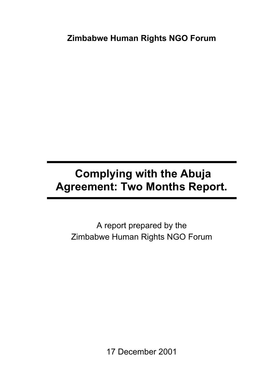**Zimbabwe Human Rights NGO Forum**

# **Complying with the Abuja Agreement: Two Months Report.**

A report prepared by the Zimbabwe Human Rights NGO Forum

17 December 2001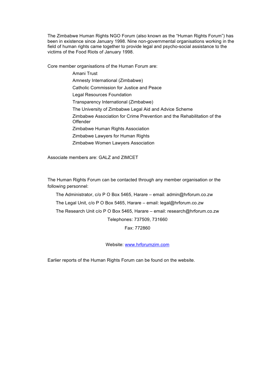The Zimbabwe Human Rights NGO Forum (also known as the "Human Rights Forum") has been in existence since January 1998. Nine non-governmental organisations working in the field of human rights came together to provide legal and psycho-social assistance to the victims of the Food Riots of January 1998.

Core member organisations of the Human Forum are:

Amani Trust Amnesty International (Zimbabwe) Catholic Commission for Justice and Peace Legal Resources Foundation Transparency International (Zimbabwe) The University of Zimbabwe Legal Aid and Advice Scheme Zimbabwe Association for Crime Prevention and the Rehabilitation of the **Offender** Zimbabwe Human Rights Association Zimbabwe Lawyers for Human Rights Zimbabwe Women Lawyers Association

Associate members are: GALZ and ZIMCET

The Human Rights Forum can be contacted through any member organisation or the following personnel:

The Administrator, c/o P O Box 5465, Harare – email: admin@hrforum.co.zw

The Legal Unit, c/o P O Box 5465, Harare – email: legal@hrforum.co.zw

The Research Unit c/o P O Box 5465, Harare – email: research@hrforum.co.zw

Telephones: 737509, 731660

Fax: 772860

Website: www.hrforumzim.com

Earlier reports of the Human Rights Forum can be found on the website.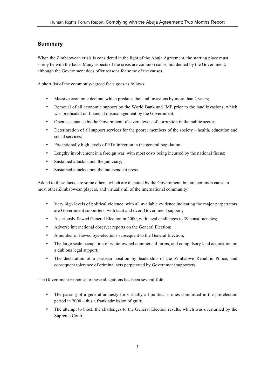# **Summary**

When the Zimbabwean crisis is considered in the light of the Abuja Agreement, the starting place must surely be with the facts. Many aspects of the crisis are common cause, not denied by the Government, although the Government does offer reasons for some of the causes.

A short list of the commonly-agreed facts goes as follows:

- Massive economic decline, which predates the land invasions by more than 2 years;
- Removal of all economic support by the World Bank and IMF prior to the land invasions, which was predicated on financial mismanagement by the Government;
- Open acceptance by the Government of severe levels of corruption in the public sector;
- Deterioration of all support services for the poorer members of the society health, education and social services;
- Exceptionally high levels of HIV infection in the general population;
- Lengthy involvement in a foreign war, with most costs being incurred by the national fiscus;
- Sustained attacks upon the judiciary;
- Sustained attacks upon the independent press.

Added to these facts, are some others, which are disputed by the Government, but are common cause to most other Zimbabwean players, and virtually all of the international community:

- Very high levels of political violence, with all available evidence indicating the major perpetrators are Government supporters, with tacit and overt Government support;
- A seriously flawed General Election in 2000, with legal challenges to 39 constituencies;
- Adverse international observer reports on the General Election;
- A number of flawed bye-elections subsequent to the General Election;
- The large scale occupation of white-owned commercial farms, and compulsory land acquisition on a dubious legal support;
- The declaration of a partisan position by leadership of the Zimbabwe Republic Police, and consequent tolerance of criminal acts perpetrated by Government supporters.

The Government response to these allegations has been several-fold:

- The passing of a general amnesty for virtually all political crimes committed in the pre-election period in 2000 – this a frank admission of guilt;
- The attempt to block the challenges to the General Election results, which was overturned by the Supreme Court;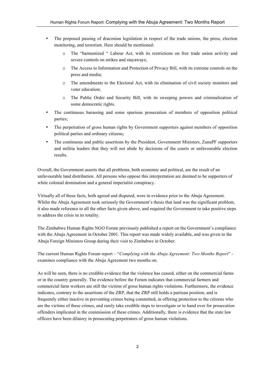- The proposed passing of draconian legislation in respect of the trade unions, the press, election monitoring, and terrorism. Here should be mentioned:
	- o The "harmonized " Labour Act, with its restrictions on free trade union activity and severe controls on strikes and stayaways;
	- o The Access to Information and Protection of Privacy Bill, with its extreme controls on the press and media;
	- o The amendments to the Electoral Act, with its elimination of civil society monitors and voter education;
	- o The Public Order and Security Bill, with its sweeping powers and criminalization of some democratic rights.
- The continuous harassing and some spurious prosecution of members of opposition political parties;
- The perpetration of gross human rights by Government supporters against members of opposition political parties and ordinary citizens;
- The continuous and public assertions by the President, Government Ministers, ZanuPF supporters and militia leaders that they will not abide by decisions of the courts or unfavourable election results.

Overall, the Government asserts that all problems, both economic and political, are the result of an unfavourable land distribution. All persons who oppose this interpretation are deemed to be supporters of white colonial domination and a general imperialist conspiracy.

Virtually all of these facts, both agreed and disputed, were in evidence prior to the Abuja Agreement. Whilst the Abuja Agreement took seriously the Government's thesis that land was the significant problem, it also made reference to all the other facts given above, and required the Government to take positive steps to address the crisis in its totality.

The Zimbabwe Human Rights NGO Forum previously published a report on the Government's compliance with the Abuja Agreement in October 2001. This report was made widely available, and was given to the Abuja Foreign Ministers Group during their visit to Zimbabwe in October.

The current Human Rights Forum report – "*Complying with the Abuja Agreement: Two Months Report*" examines compliance with the Abuja Agreement two months on.

As will be seen, there is no credible evidence that the violence has ceased, either on the commercial farms or in the country generally. The evidence before the Forum indicates that commercial farmers and commercial farm workers are still the victims of gross human rights violations. Furthermore, the evidence indicates, contrary to the assertions of the ZRP, that the ZRP still holds a partisan position, and is frequently either inactive in preventing crimes being committed, in offering protection to the citizens who are the victims of these crimes, and rarely take credible steps to investigate or to hand over for prosecution offenders implicated in the commission of these crimes. Additionally, there is evidence that the state law officers have been dilatory in prosecuting perpetrators of gross human violations.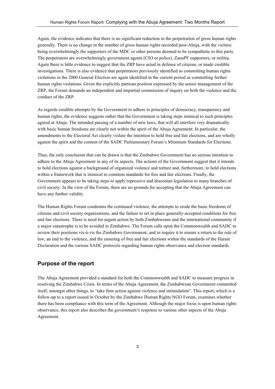Again, the evidence indicates that there is no significant reduction in the perpetration of gross human rights generally. There is no change in the number of gross human rights recorded post-Abuja, with the victims being overwhelmingly the supporters of the MDC or other persons deemed to be sympathetic to this party. The perpetrators are overwhelmingly government agents (CIO or police), ZanuPF supporters, or militia. Again there is little evidence to suggest that the ZRP have acted in defense of citizens, or made credible investigations. There is also evidence that perpetrators previously identified as committing human rights violations in the 2000 General Election are again identified in the current period as committing further human rights violations. Given the explicitly partisan position expressed by the senior management of the ZRP, the Forum demands an independent and impartial commission of inquiry on both the violence and the conduct of the ZRP.

As regards credible attempts by the Government to adhere to principles of democracy, transparency and human rights, the evidence suggests rather that the Government is taking steps inimical to such principles agreed at Abuja. The intended passing of a number of new laws, that will all interfere very dramatically with basic human freedoms are clearly not within the spirit of the Abuja Agreement. In particular, the amendments to the Electoral Act clearly violate the intention to hold free and fair elections, and are wholly against the spirit and the content of the SADC Parliamentary Forum's Minimum Standards for Elections.

Thus, the only conclusion that can be drawn is that the Zimbabwe Government has no serious intention to adhere to the Abuja Agreement in any of its aspects. The actions of the Government suggest that it intends to hold elections against a background of organized violence and torture and, furthermore, to hold elections within a framework that is inimical to common standards for free and fair elections. Finally, the Government appears to be taking steps to apply repressive and draconian legislation to many branches of civil society. In the view of the Forum, there are no grounds for accepting that the Abuja Agreement can have any further validity.

The Human Rights Forum condemns the continued violence, the attempts to erode the basic freedoms of citizens and civil society organizations, and the failure to set in place generally-accepted conditions for free and fair elections. There is need for urgent action by both Zimbabweans and the international community if a major catastrophe is to be avoided in Zimbabwe. The Forum calls upon the Commonwealth and SADC to review their positions vis-à-vis the Zimbabwe Government, and to require it to ensure a return to the rule of law, an end to the violence, and the ensuring of free and fair elections within the standards of the Harare Declaration and the various SADC protocols regarding human rights observance and election standards.

# **Purpose of the report**

The Abuja Agreement provided a standard for both the Commonwealth and SADC to measure progress in resolving the Zimbabwe Crisis. In terms of the Abuja Agreement, the Zimbabwean Government committed itself, amongst other things, to "take firm action against violence and intimidation". This report, which is a follow-up to a report issued in October by the Zimbabwe Human Rights NGO Forum, examines whether there has been compliance with this term of the Agreement. Although the major focus is upon human rights observance, this report also describes the government's response to various other aspects of the Abuja Agreement.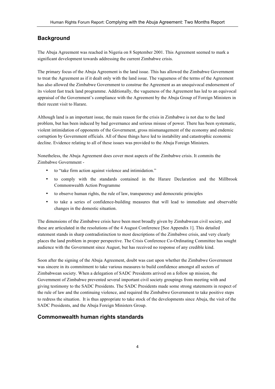# **Background**

The Abuja Agreement was reached in Nigeria on 8 September 2001. This Agreement seemed to mark a significant development towards addressing the current Zimbabwe crisis.

The primary focus of the Abuja Agreement is the land issue. This has allowed the Zimbabwe Government to treat the Agreement as if it dealt only with the land issue. The vagueness of the terms of the Agreement has also allowed the Zimbabwe Government to construe the Agreement as an unequivocal endorsement of its violent fast track land programme. Additionally, the vagueness of the Agreement has led to an equivocal appraisal of the Government's compliance with the Agreement by the Abuja Group of Foreign Ministers in their recent visit to Harare.

Although land is an important issue, the main reason for the crisis in Zimbabwe is not due to the land problem, but has been induced by bad governance and serious misuse of power. There has been systematic, violent intimidation of opponents of the Government, gross mismanagement of the economy and endemic corruption by Government officials. All of these things have led to instability and catastrophic economic decline. Evidence relating to all of these issues was provided to the Abuja Foreign Ministers.

Nonetheless, the Abuja Agreement does cover most aspects of the Zimbabwe crisis. It commits the Zimbabwe Government -

- to "take firm action against violence and intimidation."
- to comply with the standards contained in the Harare Declaration and the Millbrook Commonwealth Action Programme
- to observe human rights, the rule of law, transparency and democratic principles
- to take a series of confidence-building measures that will lead to immediate and observable changes in the domestic situation.

The dimensions of the Zimbabwe crisis have been most broadly given by Zimbabwean civil society, and these are articulated in the resolutions of the 4 August Conference [See Appendix 1]. This detailed statement stands in sharp contradistinction to most descriptions of the Zimbabwe crisis, and very clearly places the land problem in proper perspective. The Crisis Conference Co-Ordinating Committee has sought audience with the Government since August, but has received no response of any credible kind.

Soon after the signing of the Abuja Agreement, doubt was cast upon whether the Zimbabwe Government was sincere in its commitment to take various measures to build confidence amongst all sectors of Zimbabwean society. When a delegation of SADC Presidents arrived on a follow up mission, the Government of Zimbabwe prevented several important civil society groupings from meeting with and giving testimony to the SADC Presidents. The SADC Presidents made some strong statements in respect of the rule of law and the continuing violence, and required the Zimbabwe Government to take positive steps to redress the situation. It is thus appropriate to take stock of the developments since Abuja, the visit of the SADC Presidents, and the Abuja Foreign Ministers Group.

# **Commonwealth human rights standards**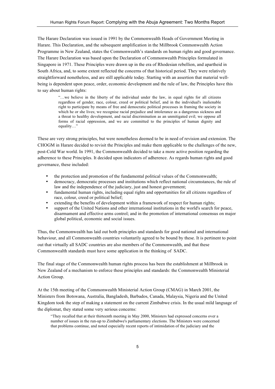The Harare Declaration was issued in 1991 by the Commonwealth Heads of Government Meeting in Harare. This Declaration, and the subsequent amplification in the Millbrook Commonwealth Action Programme in New Zealand, states the Commonwealth's standards on human rights and good governance. The Harare Declaration was based upon the Declaration of Commonwealth Principles formulated in Singapore in 1971. These Principles were drawn up in the era of Rhodesian rebellion, and apartheid in South Africa, and, to some extent reflected the concerns of that historical period. They were relatively straightforward nonetheless, and are still applicable today. Starting with an assertion that material wellbeing is dependent upon peace, order, economic development and the rule of law, the Principles have this to say about human rights:

> "…we believe in the liberty of the individual under the law, in equal rights for all citizens regardless of gender, race, colour, creed or political belief, and in the individual's inalienable right to participate by means of free and democratic political processes in framing the society in which he or she lives; we recognise racial prejudice and intolerance as a dangerous sickness and a threat to healthy development, and racial discrimination as an unmitigated evil; we oppose all forms of racial oppression, and we are committed to the principles of human dignity and equality…"

These are very strong principles, but were nonetheless deemed to be in need of revision and extension. The CHOGM in Harare decided to revisit the Principles and make them applicable to the challenges of the new, post-Cold War world. In 1991, the Commonwealth decided to take a more active position regarding the adherence to these Principles. It decided upon indicators of adherence. As regards human rights and good governance, these included:

- the protection and promotion of the fundamental political values of the Commonwealth;
- democracy, democratic processes and institutions which reflect national circumstances, the rule of law and the independence of the judiciary, just and honest government;
- fundamental human rights, including equal rights and opportunities for all citizens regardless of race, colour, creed or political belief;
- extending the benefits of development within a framework of respect for human rights;
- support of the United Nations and other international institutions in the world's search for peace, disarmament and effective arms control; and in the promotion of international consensus on major global political, economic and social issues.

Thus, the Commonwealth has laid out both principles and standards for good national and international behaviour, and all Commonwealth countries voluntarily agreed to be bound by these. It is pertinent to point out that virtually all SADC countries are also members of the Commonwealth, and that these Commonwealth standards must have some application in the thinking of SADC.

The final stage of the Commonwealth human rights process has been the establishment at Millbrook in New Zealand of a mechanism to enforce these principles and standards: the Commonwealth Ministerial Action Group.

At the 15th meeting of the Commonwealth Ministerial Action Group (CMAG) in March 2001, the Ministers from Botswana, Australia, Bangladesh, Barbados, Canada, Malaysia, Nigeria and the United Kingdom took the step of making a statement on the current Zimbabwe crisis. In the usual mild language of the diplomat, they stated some very serious concerns:

"They recalled that at their thirteenth meeting in May 2000, Ministers had expressed concerns over a number of issues in the run-up to Zimbabwe's parliamentary elections. The Ministers were concerned that problems continue, and noted especially recent reports of intimidation of the judiciary and the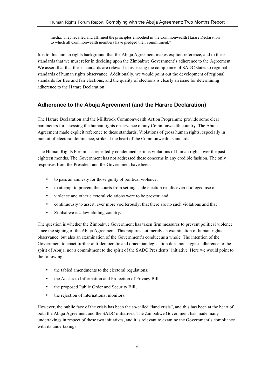media. They recalled and affirmed the principles embodied in the Commonwealth Harare Declaration to which all Commonwealth members have pledged their commitment."

It is to this human rights background that the Abuja Agreement makes explicit reference, and to these standards that we must refer in deciding upon the Zimbabwe Government's adherence to the Agreement. We assert that that these standards are relevant in assessing the compliance of SADC states to regional standards of human rights observance. Additionally, we would point out the development of regional standards for free and fair elections, and the quality of elections is clearly an issue for determining adherence to the Harare Declaration.

# **Adherence to the Abuja Agreement (and the Harare Declaration)**

The Harare Declaration and the Millbrook Commonwealth Action Programme provide some clear parameters for assessing the human rights observance of any Commonwealth country. The Abuja Agreement made explicit reference to these standards. Violations of gross human rights, especially in pursuit of electoral dominance, strike at the heart of the Commonwealth standards.

The Human Rights Forum has repeatedly condemned serious violations of human rights over the past eighteen months. The Government has not addressed these concerns in any credible fashion. The only responses from the President and the Government have been:

- to pass an amnesty for those guilty of political violence;
- to attempt to prevent the courts from setting aside election results even if alleged use of
- violence and other electoral violations were to be proven; and
- continuously to assert, ever more vociferously, that there are no such violations and that
- Zimbabwe is a law-abiding country.

The question is whether the Zimbabwe Government has taken firm measures to prevent political violence since the signing of the Abuja Agreement. This requires not merely an examination of human rights observance, but also an examination of the Government's conduct as a whole. The intention of the Government to enact further anti-democratic and draconian legislation does not suggest adherence to the spirit of Abuja, nor a commitment to the spirit of the SADC Presidents' initiative. Here we would point to the following:

- the tabled amendments to the electoral regulations;
- the Access to Information and Protection of Privacy Bill;
- the proposed Public Order and Security Bill;
- the rejection of international monitors.

However, the public face of the crisis has been the so-called "land crisis", and this has been at the heart of both the Abuja Agreement and the SADC initiatives. The Zimbabwe Government has made many undertakings in respect of these two initiatives, and it is relevant to examine the Government's compliance with its undertakings.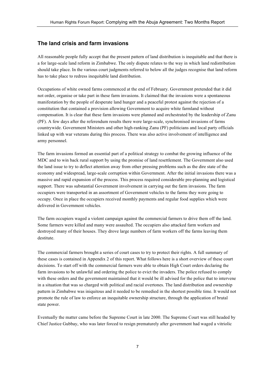# **The land crisis and farm invasions**

All reasonable people fully accept that the present pattern of land distribution is inequitable and that there is a for large-scale land reform in Zimbabwe. The only dispute relates to the way in which land redistribution should take place. In the various court judgments referred to below all the judges recognise that land reform has to take place to redress inequitable land distribution.

Occupations of white owned farms commenced at the end of February. Government pretended that it did not order, organise or take part in these farm invasions. It claimed that the invasions were a spontaneous manifestation by the people of desperate land hunger and a peaceful protest against the rejection of a constitution that contained a provision allowing Government to acquire white farmland without compensation. It is clear that these farm invasions were planned and orchestrated by the leadership of Zanu (PF). A few days after the referendum results there were large-scale, synchronised invasions of farms countrywide. Government Ministers and other high-ranking Zanu (PF) politicians and local party officials linked up with war veterans during this process. There was also active involvement of intelligence and army personnel.

The farm invasions formed an essential part of a political strategy to combat the growing influence of the MDC and to win back rural support by using the promise of land resettlement. The Government also used the land issue to try to deflect attention away from other pressing problems such as the dire state of the economy and widespread, large-scale corruption within Government. After the initial invasions there was a massive and rapid expansion of the process. This process required considerable pre-planning and logistical support. There was substantial Government involvement in carrying out the farm invasions. The farm occupiers were transported in an assortment of Government vehicles to the farms they were going to occupy. Once in place the occupiers received monthly payments and regular food supplies which were delivered in Government vehicles.

The farm occupiers waged a violent campaign against the commercial farmers to drive them off the land. Some farmers were killed and many were assaulted. The occupiers also attacked farm workers and destroyed many of their houses. They drove large numbers of farm workers off the farms leaving them destitute.

The commercial farmers brought a series of court cases to try to protect their rights. A full summary of these cases is contained in Appendix 2 of this report. What follows here is a short overview of these court decisions. To start off with the commercial farmers were able to obtain High Court orders declaring the farm invasions to be unlawful and ordering the police to evict the invaders. The police refused to comply with these orders and the government maintained that it would be ill advised for the police that to intervene in a situation that was so charged with political and racial overtones. The land distribution and ownership pattern in Zimbabwe was iniquitous and it needed to be remedied in the shortest possible time. It would not promote the rule of law to enforce an inequitable ownership structure, through the application of brutal state power.

Eventually the matter came before the Supreme Court in late 2000. The Supreme Court was still headed by Chief Justice Gubbay, who was later forced to resign prematurely after government had waged a vitriolic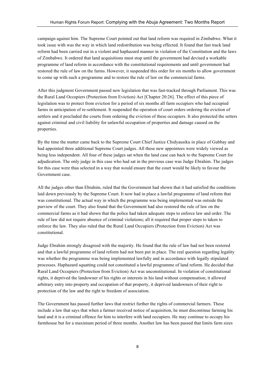campaign against him. The Supreme Court pointed out that land reform was required in Zimbabwe. What it took issue with was the way in which land redistribution was being effected. It found that fast track land reform had been carried out in a violent and haphazard manner in violation of the Constitution and the laws of Zimbabwe. It ordered that land acquisitions must stop until the government had devised a workable programme of land reform in accordance with the constitutional requirements and until government had restored the rule of law on the farms. However, it suspended this order for six months to allow government to come up with such a programme and to restore the rule of law on the commercial farms.

After this judgment Government passed new legislation that was fast-tracked through Parliament. This was the Rural Land Occupiers (Protection from Eviction) Act [Chapter 20:26]. The effect of this piece of legislation was to protect from eviction for a period of six months all farm occupiers who had occupied farms in anticipation of re-settlement. It suspended the operation of court orders ordering the eviction of settlers and it precluded the courts from ordering the eviction of these occupiers. It also protected the setters against criminal and civil liability for unlawful occupation of properties and damage caused on the properties.

By the time the matter came back to the Supreme Court Chief Justice Chidyausiku in place of Gubbay and had appointed three additional Supreme Court judges. All these new appointees were widely viewed as being less independent. All four of these judges sat when the land case can back to the Supreme Court for adjudication. The only judge in this case who had sat in the previous case was Judge Ebrahim. The judges for this case were thus selected in a way that would ensure that the court would be likely to favour the Government case.

All the judges other than Ebrahim, ruled that the Government had shown that it had satisfied the conditions laid down previously by the Supreme Court. It now had in place a lawful programme of land reform that was constitutional. The actual way in which the programme was being implemented was outside the purview of the court. They also found that the Government had also restored the rule of law on the commercial farms as it had shown that the police had taken adequate steps to enforce law and order. The rule of law did not require absence of criminal violations; all it required that proper steps to taken to enforce the law. They also ruled that the Rural Land Occupiers (Protection from Eviction) Act was constitutional.

Judge Ebrahim strongly disagreed with the majority. He found that the rule of law had not been restored and that a lawful programme of land reform had not been put in place. The real question regarding legality was whether the programme was being implemented lawfully and in accordance with legally stipulated processes. Haphazard squatting could not constituted a lawful programme of land reform. He decided that Rural Land Occupiers (Protection from Eviction) Act was unconstitutional. In violation of constitutional rights, it deprived the landowner of his rights or interests in his land without compensation; it allowed arbitrary entry into property and occupation of that property, it deprived landowners of their right to protection of the law and the right to freedom of association.

The Government has passed further laws that restrict further the rights of commercial farmers. These include a law that says that when a farmer received notice of acquisition, he must discontinue farming his land and it is a criminal offence for him to interfere with land occupiers. He may continue to occupy his farmhouse but for a maximum period of three months. Another law has been passed that limits farm sizes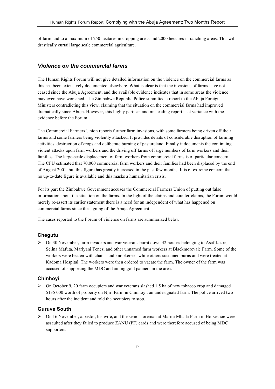of farmland to a maximum of 250 hectares in cropping areas and 2000 hectares in ranching areas. This will drastically curtail large scale commercial agriculture.

# *Violence on the commerc***i***al farms*

The Human Rights Forum will not give detailed information on the violence on the commercial farms as this has been extensively documented elsewhere. What is clear is that the invasions of farms have not ceased since the Abuja Agreement, and the available evidence indicates that in some areas the violence may even have worsened. The Zimbabwe Republic Police submitted a report to the Abuja Foreign Ministers contradicting this view, claiming that the situation on the commercial farms had improved dramatically since Abuja. However, this highly partisan and misleading report is at variance with the evidence before the Forum.

The Commercial Farmers Union reports further farm invasions, with some farmers being driven off their farms and some farmers being violently attacked. It provides details of considerable disruption of farming activities, destruction of crops and deliberate burning of pastureland. Finally it documents the continuing violent attacks upon farm workers and the driving off farms of large numbers of farm workers and their families. The large-scale displacement of farm workers from commercial farms is of particular concern. The CFU estimated that 70,000 commercial farm workers and their families had been displaced by the end of August 2001, but this figure has greatly increased in the past few months. It is of extreme concern that no up-to-date figure is available and this masks a humanitarian crisis.

For its part the Zimbabwe Government accuses the Commercial Farmers Union of putting out false information about the situation on the farms. In the light of the claims and counter-claims, the Forum would merely re-assert its earlier statement there is a need for an independent of what has happened on commercial farms since the signing of the Abuja Agreement.

The cases reported to the Forum of violence on farms are summarized below.

# **Chegutu**

 $\triangleright$  On 30 November, farm invaders and war veterans burnt down 42 houses belonging to Asaf Jazire, Selina Mafuta, Mariyani Tenesi and other unnamed farm workers at Blackmorevale Farm. Some of the workers were beaten with chains and knobkerries while others sustained burns and were treated at Kadoma Hospital. The workers were then ordered to vacate the farm. The owner of the farm was accused of supporting the MDC and aiding gold panners in the area.

#### **Chinhoyi**

 $\triangleright$  On October 9, 20 farm occupiers and war veterans slashed 1.5 ha of new tobacco crop and damaged \$135 000 worth of property on Njiri Farm in Chinhoyi, an undesignated farm. The police arrived two hours after the incident and told the occupiers to stop.

## **Guruve South**

 $\triangleright$  On 16 November, a pastor, his wife, and the senior foreman at Marira Mbada Farm in Horseshoe were assaulted after they failed to produce ZANU (PF) cards and were therefore accused of being MDC supporters.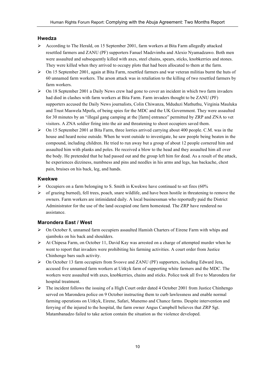# **Hwedza**

- According to The Herald, on 15 September 2001, farm workers at Bita Farm allegedly attacked resettled farmers and ZANU (PF) supporters Fanuel Madzvimba and Alexio Nyamadzawo. Both men were assaulted and subsequently killed with axes, steel chains, spears, sticks, knobkerries and stones. They were killed when they arrived to occupy plots that had been allocated to them at the farm.
- $\triangleright$  On 15 September 2001, again at Bita Farm, resettled farmers and war veteran militias burnt the huts of 60 unnamed farm workers. The arson attack was in retaliation to the killing of two resettled farmers by farm workers.
- $\triangleright$  On 18 September 2001 a Daily News crew had gone to cover an incident in which two farm invaders had died in clashes with farm workers at Bita Farm. Farm invaders thought to be ZANU (PF) supporters accused the Daily News journalists, Colin Chiwanza, Mduduzi Mathuthu, Virginia Mauluka and Trust Maswela Mpofu, of being spies for the MDC and the UK Government. They were assaulted for 30 minutes by an "illegal gang camping at the [farm] entrance" permitted by ZRP and ZNA to vet visitors. A ZNA soldier firing into the air and threatening to shoot occupiers saved them.
- $\triangleright$  On 15 September 2001 at Bita Farm, three lorries arrived carrying about 400 people. C.M. was in the house and heard noise outside. When he went outside to investigate, he saw people being beaten in the compound, including children. He tried to run away but a group of about 12 people cornered him and assaulted him with planks and poles. He received a blow to the head and they assaulted him all over the body. He pretended that he had passed out and the group left him for dead. As a result of the attack, he experiences dizziness, numbness and pins and needles in his arms and legs, has backache, chest pain, bruises on his back, leg, and hands.

#### **Kwekwe**

- $\triangleright$  Occupiers on a farm belonging to S. Smith in Kwekwe have continued to set fires (60%)
- $\triangleright$  of grazing burned), fell trees, poach, snare wildlife, and have been hostile in threatening to remove the owners. Farm workers are intimidated daily. A local businessman who reportedly paid the District Administrator for the use of the land occupied one farm homestead. The ZRP have rendered no assistance.

# **Marondera East / West**

- On October 8, unnamed farm occupiers assaulted Hamish Charters of Eirene Farm with whips and sjamboks on his back and shoulders.
- $\triangleright$  At Chipesa Farm, on October 11, David Kay was arrested on a charge of attempted murder when he went to report that invaders were prohibiting his farming activities. A court order from Justice Chinhengo bars such activity.
- $\triangleright$  On October 13 farm occupiers from Svosve and ZANU (PF) supporters, including Edward Jera, accused five unnamed farm workers at Uitkyk farm of supporting white farmers and the MDC. The workers were assaulted with axes, knobkerries, chains and sticks. Police took all five to Marondera for hospital treatment.
- $\triangleright$  The incident follows the issuing of a High Court order dated 4 October 2001 from Justice Chinhengo served on Marondera police on 9 October instructing them to curb lawlessness and enable normal farming operations on Uitkyk, Eirene, Safari, Munemo and Chance farms. Despite intervention and ferrying of the injured to the hospital, the farm owner Angus Campbell believes that ZRP Sgt. Matambanadzo failed to take action contain the situation as the violence developed.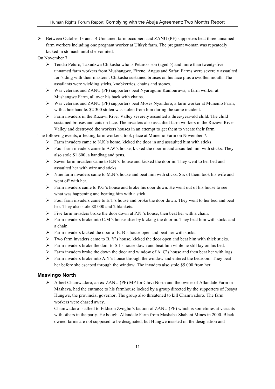$\triangleright$  Between October 13 and 14 Unnamed farm occupiers and ZANU (PF) supporters beat three unnamed farm workers including one pregnant worker at Uitkyk farm. The pregnant woman was repeatedly kicked in stomach until she vomited.

On November 7:

- Tendai Peturo, Takudzwa Chikasha who is Peturo's son (aged 5) and more than twenty-five unnamed farm workers from Mushangwe, Eirene, Angus and Safari Farms were severely assaulted for 'siding with their masters'. Chikasha sustained bruises on his face plus a swollen mouth. The assailants were wielding sticks, knobkerries, chains and stones.
- War veterans and ZANU (PF) supporters beat Nyarugumi Kamburuwa, a farm worker at Mushangwe Farm, all over his back with chains.
- War veterans and ZANU (PF) supporters beat Moses Nyandoro, a farm worker at Munemo Farm, with a hoe handle. \$2 300 stolen was stolen from him during the same incident.
- $\triangleright$  Farm invaders in the Ruzawi River Valley severely assaulted a three-year-old child. The child sustained bruises and cuts on face. The invaders also assaulted farm workers in the Ruzawi River Valley and destroyed the workers houses in an attempt to get them to vacate their farm.

The following events, affecting farm workers, took place at Munemo Farm on November 7.

- $\triangleright$  Farm invaders came to N.K's home, kicked the door in and assaulted him with sticks.
- $\triangleright$  Four farm invaders came to A.W's house, kicked the door in and assaulted him with sticks. They also stole \$1 600, a handbag and pens.
- $\triangleright$  Seven farm invaders came to E.N's house and kicked the door in. They went to her bed and assaulted her with wire and sticks.
- $\triangleright$  Nine farm invaders came to M.N's house and beat him with sticks. Six of them took his wife and went off with her.
- $\triangleright$  Farm invaders came to P.G's house and broke his door down. He went out of his house to see what was happening and beating him with a stick.
- $\triangleright$  Four farm invaders came to E.T's house and broke the door down. They went to her bed and beat her. They also stole \$8 000 and 2 blankets.
- $\triangleright$  Five farm invaders broke the door down at P.N.'s house, then beat her with a chain.
- $\triangleright$  Farm invaders broke into C.M's house after by kicking the door in. They beat him with sticks and a chain.
- $\triangleright$  Farm invaders kicked the door of E. B's house open and beat her with sticks.
- $\triangleright$  Two farm invaders came to B. Y's house, kicked the door open and beat him with thick sticks.
- $\triangleright$  Farm invaders broke the door to S.I's house down and beat him while he still lay on his bed.
- Farm invaders broke the down the door and window of A. C's house and then beat her with logs.
- $\triangleright$  Farm invaders broke into A.Y's house through the window and entered the bedroom. They beat her before she escaped through the window. The invaders also stole \$5 000 from her.

# **Masvingo North**

 Albert Chamwadoro, an ex-ZANU (PF) MP for Chivi North and the owner of Allandale Farm in Mashava, had the entrance to his farmhouse locked by a group directed by the supporters of Josaya Hungwe, the provincial governor. The group also threatened to kill Chamwadoro. The farm workers were chased away.

Chamwadoro is allied to Eddison Zvogbo's faction of ZANU (PF) which is sometimes at variants with others in the party. He bought Allandale Farm from Mashaba-Shabani Mines in 2000. Blackowned farms are not supposed to be designated, but Hungwe insisted on the designation and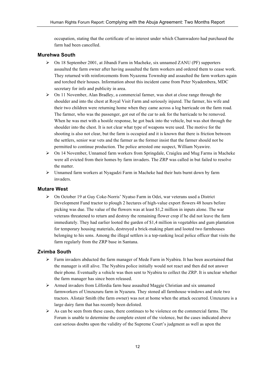occupation, stating that the certificate of no interest under which Chamwadoro had purchased the farm had been cancelled.

# **Murehwa South**

- $\triangleright$  On 18 September 2001, at Jibandi Farm in Macheke, six unnamed ZANU (PF) supporters assaulted the farm owner after having assaulted the farm workers and ordered them to cease work. They returned with reinforcements from Nyazema Township and assaulted the farm workers again and torched their houses. Information about this incident came from Peter Nyadembera, MDC secretary for info and publicity in area.
- $\triangleright$  On 11 November, Alan Bradley, a commercial farmer, was shot at close range through the shoulder and into the chest at Royal Visit Farm and seriously injured. The farmer, his wife and their two children were returning home when they came across a log barricade on the farm road. The farmer, who was the passenger, got out of the car to ask for the barricade to be removed. When he was met with a hostile response, he got back into the vehicle, but was shot through the shoulder into the chest. It is not clear what type of weapons were used. The motive for the shooting is also not clear, but the farm is occupied and it is known that there is friction between the settlers, senior war vets and the farmer as the former insist that the farmer should not be permitted to continue production. The police arrested one suspect, William Nyawire.
- $\triangleright$  On 14 November, Unnamed farm workers from Springdale, Craiglea and Mug Farms in Macheke were all evicted from their homes by farm invaders. The ZRP was called in but failed to resolve the matter.
- $\triangleright$  Unnamed farm workers at Nyagadzi Farm in Macheke had their huts burnt down by farm invaders.

# **Mutare West**

 On October 19 at Guy Coke-Norris' Nyatso Farm in Odzi, war veterans used a District Development Fund tractor to plough 2 hectares of high-value export flowers 48 hours before picking was due. The value of the flowers was at least \$1,2 million in inputs alone. The war veterans threatened to return and destroy the remaining flower crop if he did not leave the farm immediately. They had earlier looted the garden of \$1,4 million in vegetables and gum plantation for temporary housing materials, destroyed a brick-making plant and looted two farmhouses belonging to his sons. Among the illegal settlers is a top-ranking local police officer that visits the farm regularly from the ZRP base in Santana.

# **Zvimba South**

- $\triangleright$  Farm invaders abducted the farm manager of Mede Farm in Nyabira. It has been ascertained that the manager is still alive. The Nyabira police initially would not react and then did not answer their phone. Eventually a vehicle was then sent to Nyabira to collect the ZRP. It is unclear whether the farm manager has since been released.
- Armed invaders from Lilfordia farm base assaulted Maggie Christian and six unnamed farmworkers of Umzuzuru farm in Nyazura. They stoned all farmhouse windows and stole two tractors. Alistair Smith (the farm owner) was not at home when the attack occurred. Umzuzuru is a large dairy farm that has recently been delisted.
- $\triangleright$  As can be seen from these cases, there continues to be violence on the commercial farms. The Forum is unable to determine the complete extent of the violence, but the cases indicated above cast serious doubts upon the validity of the Supreme Court's judgment as well as upon the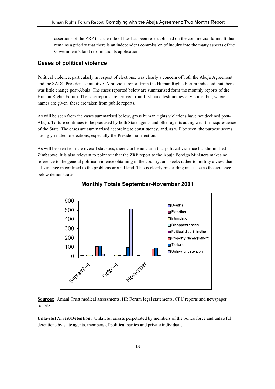assertions of the ZRP that the rule of law has been re-established on the commercial farms. It thus remains a priority that there is an independent commission of inquiry into the many aspects of the Government's land reform and its application.

# **Cases of political violence**

Political violence, particularly in respect of elections, was clearly a concern of both the Abuja Agreement and the SADC President's initiative. A previous report from the Human Rights Forum indicated that there was little change post-Abuja. The cases reported below are summarised form the monthly reports of the Human Rights Forum. The case reports are derived from first-hand testimonies of victims, but, where names are given, these are taken from public reports.

As will be seen from the cases summarised below, gross human rights violations have not declined post-Abuja. Torture continues to be practised by both State agents and other agents acting with the acquiescence of the State. The cases are summarised according to constituency, and, as will be seen, the purpose seems strongly related to elections, especially the Presidential election.

As will be seen from the overall statistics, there can be no claim that political violence has diminished in Zimbabwe. It is also relevant to point out that the ZRP report to the Abuja Foreign Ministers makes no reference to the general political violence obtaining in the country, and seeks rather to portray a view that all violence in confined to the problems around land. This is clearly misleading and false as the evidence below demonstrates.





**Sources:** Amani Trust medical assessments, HR Forum legal statements, CFU reports and newspaper reports.

**Unlawful Arrest/Detention:** Unlawful arrests perpetrated by members of the police force and unlawful detentions by state agents, members of political parties and private individuals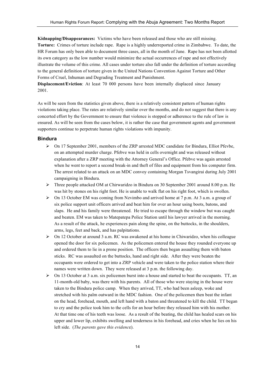**Kidnapping/Disappearances:** Victims who have been released and those who are still missing. **Torture:** Crimes of torture include rape. Rape is a highly underreported crime in Zimbabwe. To date, the HR Forum has only been able to document three cases, all in the month of June. Rape has not been allotted its own category as the low number would minimize the actual occurrences of rape and not effectively illustrate the volume of this crime. All cases under torture also fall under the definition of torture according to the general definition of torture given in the United Nations Convention Against Torture and Other Forms of Cruel, Inhuman and Degrading Treatment and Punishment.

**Displacement/Eviction:** At least 70 000 persons have been internally displaced since January 2001.

As will be seen from the statistics given above, there is a relatively consistent pattern of human rights violations taking place. The rates are relatively similar over the months, and do not suggest that there is any concerted effort by the Government to ensure that violence is stopped or adherence to the rule of law is ensured. As will be seen from the cases below, it is rather the case that government agents and government supporters continue to perpetrate human rights violations with impunity.

#### **Bindura**

- $\triangleright$  On 17 September 2001, members of the ZRP arrested MDC candidate for Bindura, Elliot Pfevbe, on an attempted murder charge. Pfebve was held in cells overnight and was released without explanation after a ZRP meeting with the Attorney General's Office. Pfebve was again arrested when he went to report a second break-in and theft of files and equipment from his computer firm. The arrest related to an attack on an MDC convoy containing Morgan Tsvangirai during July 2001 campaigning in Bindura.
- $\triangleright$  Three people attacked OM at Chirwaridzo in Bindura on 30 September 2001 around 8.00 p.m. He was hit by stones on his right foot. He is unable to walk flat on his right foot, which is swollen.
- $\triangleright$  On 13 October EM was coming from Nzvimbo and arrived home at 7 p.m. At 3 a.m. a group of six police support unit officers arrived and beat him for over an hour using boots, batons, and slaps. He and his family were threatened. He tried to escape through the window but was caught and beaten. EM was taken to Matepatepa Police Station until his lawyer arrived in the morning. As a result of the attack, he experiences pain along the spine, on the buttocks, in the shoulders, arms, legs, feet and back, and has palpitations.
- $\triangleright$  On 12 October at around 3 a.m. RC was awakened at his home in Chiwaridzo, when his colleague opened the door for six policemen. As the policemen entered the house they rounded everyone up and ordered them to lie in a prone position. The officers then began assaulting them with baton sticks. RC was assaulted on the buttocks, hand and right side. After they were beaten the occupants were ordered to get into a ZRP vehicle and were taken to the police station where their names were written down. They were released at 3 p.m. the following day.
- $\triangleright$  On 13 October at 3 a.m. six policemen burst into a house and started to beat the occupants. TT, an 11-month-old baby, was there with his parents. All of those who were staying in the house were taken to the Bindura police camp. When they arrived, TT, who had been asleep, woke and stretched with his palm outward in the MDC fashion. One of the policemen then beat the infant on the head, forehead, mouth, and left hand with a baton and threatened to kill the child. TT began to cry and the police took him to the cells for an hour before they released him with his mother. At that time one of his teeth was loose. As a result of the beating, the child has healed scars on his upper and lower lip, exhibits swelling and tenderness in his forehead, and cries when he lies on his left side. (*The parents gave this evidenc*e).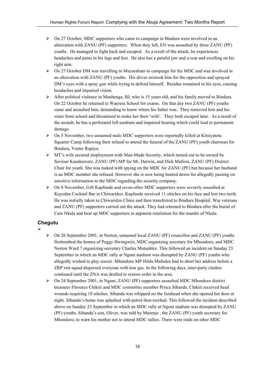- $\triangleright$  On 27 October, MDC supporters who came to campaign in Bindura were involved in an altercation with ZANU (PF) supporters. When they left, EN was assaulted by three ZANU (PF) youths. He managed to fight back and escaped. As a result of the attack, he experiences headaches and pains in his legs and feet. He also has a painful jaw and a scar and swelling on his right arm.
- $\triangleright$  On 27 October DM was travelling to Muzarabani to campaign for the MDC and was involved in an altercation with ZANU (PF) youths. His driver mistook him for the opposition and sprayed DM's eyes with a spray gun while trying to defend himself. Residue remained in his eyes, causing headaches and impaired vision.
- $\triangleright$  After political violence in Manhenga, BJ, who is 15 years old, and his family moved to Bindura. On 22 October he returned to Waerera School for exams. On that day two ZANU (PF) youths came and assaulted him, demanding to know where his father was. They removed him and his sister from school and threatened to make her their 'wife'. They both escaped later. As a result of the assault, he has a perforated left eardrum and impaired hearing which could lead to permanent damage.
- $\triangleright$  On 5 November, two unnamed male MDC supporters were reportedly killed at Kitsiyatota Squatter Camp following their refusal to attend the funeral of the ZANU (PF) youth chairman for Bindura, Voster Rupiya.
- $\triangleright$  MT's wife secured employment with Man-Made Security, which turned out to be owned by Saviour Kasukuwere, ZANU (PF) MP for Mt. Darwin, and Dick Mafiosi, ZANU (PF) District Chair for youth. She was tasked with spying on the MDC for ZANU (PF) but because her husband is an MDC member she refused. However she is now being hunted down for allegedly passing on sensitive information to the MDC regarding the security company.
- $\triangleright$  On 8 November, Gift Kapfunde and seven other MDC supporters were severely assaulted at Kuyedza Cocktail Bar in Chiwaridzo. Kapfunde received 11 stitches on his face and lost two teeth. He was initially taken to Chiwaridzo Clinic and then transferred to Bindura Hospital. War veterans and ZANU (PF) supporters carried out the attack. They had returned to Bindura after the burial of Cain Nkala and beat up MDC supporters in apparent retaliation for the murder of Nkala.

# **Chegutu**

- $\blacktriangleright$
- $\triangleright$  On 26 September 2001, in Norton, unnamed local ZANU (PF) councillor and ZANU (PF) youths firebombed the homes of Peggy Hwingwiri, MDC organizing secretary for Mhondoro, and MDC Norton Ward 7 organizing secretary Charles Mutunhire. This followed an incident on Sunday 23 September in which an MDC rally at Ngoni stadium was disrupted by ZANU (PF) youths who allegedly wished to play soccer. Mhondoro MP Hilda Mafudze had to abort her address before a ZRP riot squad dispersed everyone with tear gas. In the following days, inter-party clashes continued until the ZNA was drafted to restore order in the area.
- $\triangleright$  On 24 September 2001, in Ngoni, ZANU (PF) supporters assaulted MDC Mhondoro district treasurer Florence Chikiri and MDC committee member Prisca Sibanda. Chikiri received head wounds requiring 10 stitches. Sibanda was whipped on the forehead when she opened her door at night. Sibanda's home was splashed with petrol then torched. This followed the incident described above on Sunday 23 September in which an MDC rally at Ngoni stadium was disrupted by ZANU (PF) youths. Sibanda's son, Oliver, was told by Murenje , the ZANU (PF) youth secretary for Mhondoro, to warn his mother not to attend MDC rallies. There were raids on other MDC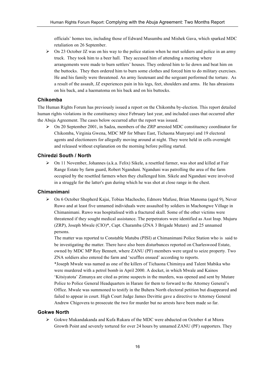officials' homes too, including those of Edward Musumbu and Mishek Gava, which sparked MDC retaliation on 26 September.

 $\triangleright$  On 23 October JZ was on his way to the police station when he met soldiers and police in an army truck. They took him to a beer hall. They accused him of attending a meeting where arrangements were made to burn settlers' houses. They ordered him to lie down and beat him on the buttocks. They then ordered him to burn some clothes and forced him to do military exercises. He and his family were threatened. An army lieutenant and the sergeant performed the torture. As a result of the assault, JZ experiences pain in his legs, feet, shoulders and arms. He has abrasions on his back, and a haematoma on his back and on his buttocks.

# **Chikomba**

The Human Rights Forum has previously issued a report on the Chikomba by-election. This report detailed human rights violations in the constituency since February last year, and included cases that occurred after the Abuja Agreement. The cases below occurred after the report was issued.

 $\triangleright$  On 20 September 2001, in Sadza, members of the ZRP arrested MDC constituency coordinator for Chikomba, Virginia Gwena, MDC MP for Mbare East, Tichaona Munyanyi and 19 electoral agents and electioneers for allegedly moving around at night. They were held in cells overnight and released without explanation on the morning before polling started.

## **Chiredzi South / North**

 On 11 November, Johannes (a.k.a. Felix) Sikele, a resettled farmer, was shot and killed at Fair Range Estate by farm guard, Robert Nganduni. Nganduni was patrolling the area of the farm occupied by the resettled farmers when they challenged him. Sikele and Nganduni were involved in a struggle for the latter's gun during which he was shot at close range in the chest.

## **Chimanimani**

 On 6 October Shepherd Kajai, Tobias Machocho, Edmore Mafuse, Brian Manoma (aged 9), Never Ruwo and at least five unnamed individuals were assaulted by soldiers in Machongwe Village in Chimanimani. Ruwo was hospitalised with a fractured skull. Some of the other victims were threatened if they sought medical assistance. The perpetrators were identified as Asst Insp. Mujuru (ZRP), Joseph Mwale (CIO)\*, Capt. Charamba (ZNA 3 Brigade Mutare) and 25 unnamed persons.

The matter was reported to Constable Matubu (PISI) at Chimanimani Police Station who is said to be investigating the matter. There have also been disturbances reported on Charleswood Estate, owned by MDC MP Roy Bennett, where ZANU (PF) members were urged to seize property. Two ZNA soldiers also entered the farm and 'scuffles ensued' according to reports.

\*Joseph Mwale was named as one of the killers of Tichaona Chiminya and Talent Mabika who were murdered with a petrol bomb in April 2000. A docket, in which Mwale and Kainos 'Kitsiyatota' Zimunya are cited as prime suspects in the murders, was opened and sent by Mutare Police to Police General Headquarters in Harare for them to forward to the Attorney General's Office. Mwale was summoned to testify in the Buhera North electoral petition but disappeared and failed to appear in court. High Court Judge James Devittie gave a directive to Attorney General Andrew Chigovera to prosecute the two for murder but no arrests have been made so far.

#### **Gokwe North**

 Gokwe Mukandakanda and Kufa Rukara of the MDC were abducted on October 4 at Mtora Growth Point and severely tortured for over 24 hours by unnamed ZANU (PF) supporters. They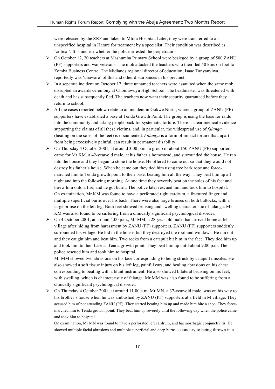were released by the ZRP and taken to Mtora Hospital. Later, they were transferred to an unspecified hospital in Harare for treatment by a specialist. Their condition was described as 'critical'. It is unclear whether the police arrested the perpetrators.

- On October 12, 20 teachers at Mashumba Primary School were besieged by a group of 500 ZANU (PF) supporters and war veterans. The mob attacked the teachers who then fled 40 kms on foot to Zomba Business Centre. The Midlands regional director of education, Isaac Tanyanyiwa, reportedly was 'unaware' of this and other disturbances in his precinct.
- $\triangleright$  In a separate incident on October 12, three unnamed teachers were assaulted when the same mob disrupted an awards ceremony at Chomuwuyu High School. The headmaster was threatened with death and has subsequently fled. The teachers now want their security guaranteed before they return to school.
- $\triangleright$  All the cases reported below relate to an incident in Gokwe North, where a group of ZANU (PF) supporters have established a base at Tenda Growth Point. The group is using the base for raids into the community and taking people back for systematic torture. There is clear medical evidence supporting the claims of all these victims, and, in particular, the widespread use of *falanga* (beating on the soles of the feet) is documented. *Falanga* is a form of impact torture that, apart from being excessively painful, can result in permanent disability.
- $\triangleright$  On Thursday 4 October 2001, at around 3.00 p.m., a group of about 150 ZANU (PF) supporters came for Mr KM, a 42-year-old male, at his father's homestead, and surrounded the house. He ran into the house and they began to stone the house. He offered to come out so that they would not destroy his father's house. When he came out they tied him using tree bark rope and forcemarched him to Tenda growth point to their base, beating him all the way. They beat him up all night and into the following morning. At one time they severely beat on the soles of his feet and threw him onto a fire, and he got burnt. The police later rescued him and took him to hospital. On examination, Mr KM was found to have a perforated right eardrum, a fractured finger and multiple superficial burns over his back. There were also large bruises on both buttocks, with a large bruise on the left leg. Both feet showed bruising and swelling characteristic of falanga. Mr KM was also found to be suffering from a clinically significant psychological disorder.
- $\triangleright$  On 4 October 2001, at around 4.00 p.m., Mr MM, a 28-year-old male, had arrived home at M village after hiding from harassment by ZANU (PF) supporters. ZANU (PF) supporters suddenly surrounded his village. He hid in the house, but they destroyed the roof and windows. He ran out and they caught him and beat him. Two rocks from a catapult hit him in the face. They tied him up and took him to their base at Tenda growth point. They beat him up until about 9.00 p.m. The police rescued him and took him to hospital.

Mr MM showed two abrasions on his face corresponding to being struck by catapult missiles. He also showed a soft tissue injury on his left leg, painful ears, and healing abrasions on his chest corresponding to beating with a blunt instrument. He also showed bilateral bruising on his feet, with swelling, which is characteristic of falanga. Mr MM was also found to be suffering from a clinically significant psychological disorder.

 $\triangleright$  On Thursday 4 October 2001, at around 11.00 a.m, Mr MN, a 37-year-old male, was on his way to his brother's house when he was ambushed by ZANU (PF) supporters at a field in M village. They accused him of not attending ZANU (PF). They started beating him up and made him bite a shoe. They forcemarched him to Tenda growth point. They beat him up severely until the following day when the police came and took him to hospital.

On examination, Mr MN was found to have a perforated left eardrum, and haemorrhagic conjunctivitis. He showed multiple facial abrasions and multiple superficial and deep burns secondary to being thrown in a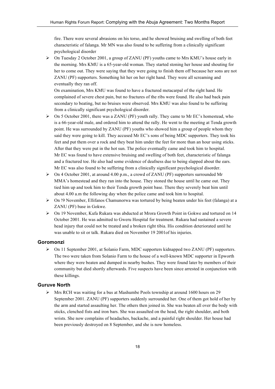fire. There were several abrasions on his torso, and he showed bruising and swelling of both feet characteristic of falanga. Mr MN was also found to be suffering from a clinically significant psychological disorder

 On Tuesday 2 October 2001, a group of ZANU (PF) youths came to Mrs KMU's house early in the morning. Mrs KMU is a 65-year-old woman. They started stoning her house and shouting for her to come out. They were saying that they were going to finish them off because her sons are not ZANU (PF) supporters. Something hit her on her right hand. They were all screaming and eventually they ran off.

On examination, Mrs KMU was found to have a fractured metacarpal of the right hand. He complained of severe chest pain, but no fractures of the ribs were found. He also had back pain secondary to beating, but no bruises were observed. Mrs KMU was also found to be suffering from a clinically significant psychological disorder.

- $\triangleright$  On 5 October 2001, there was a ZANU (PF) youth rally. They came to Mr EC's homestead, who is a 66-year-old male, and ordered him to attend the rally. He went to the meeting at Tenda growth point. He was surrounded by ZANU (PF) youths who showed him a group of people whom they said they were going to kill. They accused Mr EC's sons of being MDC supporters. They took his feet and put them over a rock and they beat him under the feet for more than an hour using sticks. After that they were put in the hot sun. The police eventually came and took him to hospital. Mr EC was found to have extensive bruising and swelling of both feet, characteristic of falanga and a fractured toe. He also had some evidence of deafness due to being slapped about the ears. Mr EC was also found to be suffering from a clinically significant psychological disorder.
- $\triangleright$  On 4 October 2001, at around 4.00 p.m., a crowd of ZANU (PF) supporters surrounded Mr MMA's homestead and they ran into the house. They stoned the house until he came out. They tied him up and took him to their Tenda growth point base. There they severely beat him until about 4.00 a.m the following day when the police came and took him to hospital.
- $\triangleright$  On !9 November, Ellifanos Chamunorwa was tortured by being beaten under his feet (falanga) at a ZANU (PF) base in Gokwe.
- On 19 November, Kufa Rukara was abducted at Mrora Growth Point in Gokwe and tortured on 14 October 2001. He was admitted to Gweru Hospital for treatment. Rukara had sustained a severe head injury that could not be treated and a broken right tibia. His condition deteriorated until he was unable to sit or talk. Rukara died on November 19 2001of his injuries.

# **Goromonzi**

 On 11 September 2001, at Solanio Farm, MDC supporters kidnapped two ZANU (PF) supporters. The two were taken from Solanio Farm to the house of a well-known MDC supporter in Epworth where they were beaten and dumped in nearby bushes. They were found later by members of their community but died shortly afterwards. Five suspects have been since arrested in conjunction with these killings.

## **Guruve North**

 $\triangleright$  Mrs RCH was waiting for a bus at Mashumbe Pools township at around 1600 hours on 29 September 2001. ZANU (PF) supporters suddenly surrounded her. One of them got hold of her by the arm and started assaulting her. The others then joined in. She was beaten all over the body with sticks, clenched fists and iron bars. She was assaulted on the head, the right shoulder, and both wrists. She now complains of headaches, backache, and a painful right shoulder. Her house had been previously destroyed on 8 September, and she is now homeless.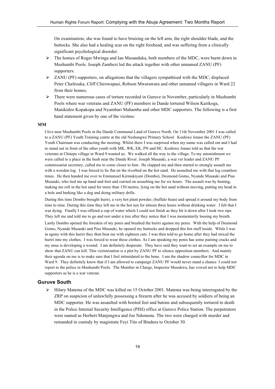On examination, she was found to have bruising on the left arm, the right shoulder blade, and the buttocks. She also had a healing scar on the right forehead, and was suffering from a clinically significant psychological disorder.

- The homes of Roger Mwinga and Ian Musanduka, both members of the MDC, were burnt down in Mushumbi Pools. Joseph Zambezi led the attack together with other unnamed ZANU (PF) supporters.
- ZANU (PF) supporters, on allegations that the villagers sympathised with the MDC, displaced Peter Chafesuka, Cliff Chirowapasi, Robson Mwarawara and other unnamed villagers in Ward 22 from their homes.
- $\triangleright$  There were numerous cases of torture recorded in Guruve in November, particularly in Mushumbi Pools where war veterans and ZANU (PF) members in Dande tortured Wilson Karikoga, Manikidzo Kopakopa and Nyambari Mahamba and other MDC supporters. The following is a first hand statement given by one of the victims:

## **MM**

I live near Mushumbi Pools in the Dande Communal Land of Guruve North. On 11th November 2001 I was called to a ZANU (PF) Youth Training centre at the old Neshangwe Primary School. Koshiwe Jonasi the ZANU (PF) Youth Chairman was conducting the meeting. Whilst there I was surprised when my name was called out and I had to stand out in front of the other youth with MK, WK, EK, PN and HC. Koshiwe Jonasi told us that the war veterans at Chitepo village in Ward 9 wanted us. We walked all the way to the village. To my astonishment we were called to a place in the bush near the Dande River. Joseph Musauki, a war vet leader and ZANU PF commissariat secretary, called me to come closer to him. He clapped me and then started to strongly assault me with a wooden log. I was forced to lie flat on the riverbed on the hot sand. He assaulted me with that log countless times. He then handed me over to Emmanuel Kirmukiyani (Dombo), Desmond Gomo, Nyande Musauki and Pius Musauki, who tied me up hand and foot and carried on assaulting me for six hours. The assault was by beating, making me roll in the hot sand for more than 150 metres, lying on the hot sand without moving, putting my head in a hole and barking like a dog and doing military drills.

During this time Dombo brought huriri, a very hot plant powder, (buffalo bean) and spread it around my body from time to time. During this time they left me in the hot sun for almost three hours without drinking water. I felt that I was dying. Finally I was offered a cup of water which I could not finish as they hit it down after I took two sips. They left me and told me to go and rest under a tree after they notice that I was momentarily loosing my breath.

Lastly Dombo opened the foreskin of my penis and brushed the huriri against my penis. With the help of Desmond Gomo, Nyande Musauki and Pius Musauki, he opened my buttocks and dropped this hot stuff inside. While I was in agony with this huriri they then beat me with eighteen cuts. I was then told to go home after they had mixed the huriri into my clothes. I was forced to wear those clothes. As I am speaking my penis has some paining cracks and my anus is developing a wound. I am definitely desperate. They have said they want to set an example on me to show that ZANU can kill. This victimization is a plot by ZANU PF to silence opposition members. And mainly their agenda on me is to make sure that I feel intimidated to the bone. I am the shadow councillor for MDC in Ward 9. They definitely know that if I am allowed to campaign ZANU PF would never stand a chance. I could not report to the police in Mushumbi Pools. The Member in Charge, Inspector Musukwa, has vowed not to help MDC supporters as he is a war veteran.

## **Guruve South**

 $\triangleright$  Hilary Matema of the MDC was killed on 15 October 2001. Matema was being interrogated by the ZRP on suspicion of unlawfully possessing a firearm after he was accused by soldiers of being an MDC supporter. He was assaulted with booted feet and batons and subsequently tortured to death in the Police Internal Security Intelligence (PISI) office at Guruve Police Station. The perpetrators were named as Herbert Manjengwa and Joe Ndomene. The two were charged with murder and remanded in custody by magistrate Feyi Tito of Bindura to October 30.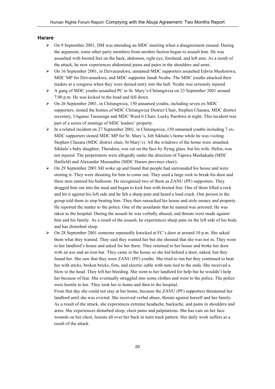#### **Harare**

- $\triangleright$  On 9 September 2001, DM was attending an MDC meeting when a disagreement ensued. During the argument, some other party members from another faction began to assault him. He was assaulted with booted feet on the back, abdomen, right eye, forehead, and left arm. As a result of the attack, he now experiences abdominal pains and pains in the shoulders and arms.
- $\triangleright$  On 16 September 2001, in Dzivarasekwa, unnamed MDC supporters assaulted Edwin Mushoriwa, MDC MP for Dzivarasekwa, and MDC supporter Janah Ncube. The MDC youths attacked their leaders at a congress when they were denied entry into the hall. Ncube was seriously injured.
- $\triangleright$  A gang of MDC youths assaulted PC in St. Mary's-Chitungwiza on 23 September 2001 around 7.00 p.m. He was kicked in the head and fell down.
- $\triangleright$  On 26 September 2001, in Chitungwiza, 150 unnamed youths, including seven ex-MDC supporters, stoned the homes of MDC Chitungwiza District Chair, Stephen Chasara, MDC district secretary, Unganai Tarusenga and MDC Ward 6 Chair, Lucky Parehwa at night. This incident was part of a series of stonings of MDC leaders' property.
- $\triangleright$  In a related incident on 27 September 2001, in Chitungwiza, 150 unnamed youths including 7 ex-MDC supporters stoned MDC MP for St. Mary's, Job Sikhala's home while he was visiting Stephen Chasara (MDC district chair, St Mary's). All the windows of the home were smashed. Sikhala's baby daughter, Theodora, was cut on the face by flying glass, but his wife, Helen, was not injured. The perpetrators were allegedly under the direction of Tapiwa Mashakada (MDC Hatfield) and Alexander Musundire (MDC Harare province chair).
- $\triangleright$  On 29 September 2001 SH woke up and found that people had surrounded his house and were stoning it. They were shouting for him to come out. They used a large rock to break his door and three men entered his bedroom. He recognized two of them as ZANU (PF) supporters. They dragged him out into the mud and began to kick him with booted feet. One of them lifted a rock and hit it against his left side and he felt a sharp pain and heard a loud crack. One person in the group told them to stop beating him. They then ransacked his house and stole money and property. He reported the matter to the police. One of the assailants that he named was arrested. He was taken to the hospital. During the assault he was verbally abused, and threats were made against him and his family. As a result of the assault, he experiences sharp pain on the left side of his body and has disturbed sleep.
- On 28 September 2001 someone repeatedly knocked at FC's door at around 10 p.m. She asked them what they wanted. They said they wanted her but she shouted that she was not in. They went to her landlord's house and asked for her there. They returned to her house and broke her door with an axe and an iron bar. They came in the house so she hid behind a door, naked, but they found her. She saw that they were ZANU (PF) youths. She tried to run but they continued to beat her with sticks, broken bricks, fists, and electric cable with nuts tied to the ends. She received a blow to the head. They left her bleeding. She went to her landlord for help but he wouldn't help her because of fear. She eventually struggled into some clothes and went to the police. The police were hostile to her. They took her to home and then to the hospital.

From that day she could not stay at her home, because the ZANU (PF) supporters threatened her landlord until she was evicted. She received verbal abuse, threats against herself and her family. As a result of the attack, she experiences extreme headache, backache, and pains in shoulders and arms. She experiences disturbed sleep, chest pains and palpitations. She has cuts on her face wounds on her chest, lesions all over her back in train track pattern. Her daily work suffers as a result of the attack.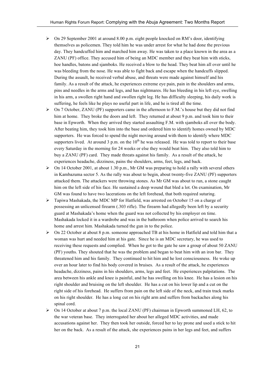- $\triangleright$  On 29 September 2001 at around 8.00 p.m. eight people knocked on RM's door, identifying themselves as policemen. They told him he was under arrest for what he had done the previous day. They handcuffed him and marched him away. He was taken to a place known in the area as a ZANU (PF) office. They accused him of being an MDC member and they beat him with sticks, hoe handles, batons and sjamboks. He received a blow to the head. They beat him all over until he was bleeding from the nose. He was able to fight back and escape when the handcuffs slipped. During the assault, he received verbal abuse, and threats were made against himself and his family. As a result of the attack, he experiences extreme eve pain, pain in the shoulders and arms, pins and needles in the arms and legs, and has nightmares. He has bleeding in his left eye, swelling in his arm, a swollen right hand and swollen right leg. He has difficulty sleeping, his daily work is suffering, he feels like he plays no useful part in life, and he is tired all the time.
- $\triangleright$  On 7 October, ZANU (PF) supporters came in the afternoon to F.M.'s house but they did not find him at home. They broke the doors and left. They returned at about 9 p.m. and took him to their base in Epworth. When they arrived they started assaulting F.M. with sjamboks all over the body. After beating him, they took him into the base and ordered him to identify homes owned by MDC supporters. He was forced to spend the night moving around with them to identify where MDC supporters lived. At around 3 p.m. on the  $10<sup>th</sup>$  he was released. He was told to report to their base every Saturday in the morning for 24 weeks or else they would beat him. They also told him to buy a ZANU (PF) card. They made threats against his family. As a result of the attack, he experiences headache, dizziness, pains the shoulders, arms, feet, legs, and back.
- $\triangleright$  On 14 October 2001, at about 1.30 p.m., Mr GM was preparing to hold a rally with several others in Kambazuma sector 5. As the rally was about to begin, about twenty-five ZANU (PF) supporters attacked them. The attackers were throwing stones. As Mr GM was about to run, a stone caught him on the left side of his face. He sustained a deep wound that bled a lot. On examination, Mr GM was found to have two lacerations on the left forehead, that both required suturing.
- $\triangleright$  Tapiwa Mashakada, the MDC MP for Hatfield, was arrested on October 15 on a charge of possessing an unlicensed firearm (.303 rifle). The firearm had allegedly been left by a security guard at Mashakada's home when the guard was not collected by his employer on time. Mashakada locked it in a wardrobe and was in the bathroom when police arrived to search his home and arrest him. Mashakada turned the gun in to the police.
- $\triangleright$  On 22 October at about 8 p.m. someone approached TB at his home in Hatfield and told him that a woman was hurt and needed him at his gate. Since he is an MDC secretary, he was used to receiving these requests and complied. When he got to the gate he saw a group of about 50 ZANU (PF) youths. They shouted that he was the problem and began to beat him with an iron bar. They threatened him and his family. They continued to hit him and he lost consciousness. He woke up over an hour later to find his body covered in bruises. As a result of the attack, he experiences headache, dizziness, pains in his shoulders, arms, legs and feet. He experiences palpitations. The area between his ankle and knee is painful, and he has swelling on his knee. He has a lesion on his right shoulder and bruising on the left shoulder. He has a cut on his lower lip and a cut on the right side of his forehead. He suffers from pain on the left side of the neck, and train track marks on his right shoulder. He has a long cut on his right arm and suffers from backaches along his spinal cord.
- $\triangleright$  On 14 October at about 7 p.m. the local ZANU (PF) chairman in Epworth summoned LH, 62, to the war veteran base. They interrogated her about her alleged MDC activities, and made accusations against her. They then took her outside, forced her to lay prone and used a stick to hit her on the back. As a result of the attack, she experiences pains in her legs and feet, and suffers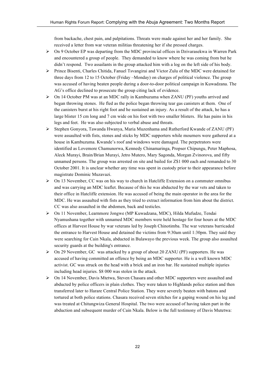from backache, chest pain, and palpitations. Threats were made against her and her family. She received a letter from war veteran militias threatening her if she pressed charges.

- $\triangleright$  On 9 October EP was departing from the MDC provincial offices in Dzivarasekwa in Warren Park and encountered a group of people. They demanded to know where he was coming from but he didn't respond. Two assailants in the group attacked him with a log on the left side of his body.
- $\triangleright$  Prince Bisenti, Charles Chitida, Fanuel Tsvangirai and Victor Zulu of the MDC were detained for three days from 12 to 15 October (Friday –Monday) on charges of political violence. The group was accused of having beaten people during a door-to-door political campaign in Kuwadzana. The AG's office declined to prosecute the group citing lack of evidence.
- $\triangleright$  On 14 October PM was at an MDC rally in Kambuzuma when ZANU (PF) youths arrived and began throwing stones. He fled as the police began throwing tear gas canisters at them. One of the canisters burst at his right foot and he sustained an injury. As a result of the attack, he has a large blister 15 cm long and 7 cm wide on his foot with two smaller blisters. He has pains in his legs and feet. He was also subjected to verbal abuse and threats.
- Stephen Gonyora, Tawanda Hwanya, Maria Muzenhama and Rutherford Kwande of ZANU (PF) were assaulted with fists, stones and sticks by MDC supporters while mourners were gathered at a house in Kambuzuma. Kwande's roof and windows were damaged. The perpetrators were identified as Lovemore Chamunorwa, Kennedy Chinamaringa, Propser Chipungu, Peter Maphosa, Aleck Murayi, Brain/Brian Murayi, Jetro Mutero, Mary Sagonda, Morgan Zvinorova, and fifty unnamed persons. The group was arrested on site and bailed for Z\$1 000 each and remanded to 30 October 2001. It is unclear whether any time was spent in custody prior to their appearance before magistrate Dominic Muzavazi.
- $\triangleright$  On 13 November, CC was on his way to church in Hatcliffe Extension on a commuter omnibus and was carrying an MDC leaflet. Because of this he was abducted by the war vets and taken to their office in Hatcliffe extension. He was accused of being the main operator in the area for the MDC. He was assaulted with fists as they tried to extract information from him about the district. CC was also assaulted in the abdomen, back and testicles.
- On 11 November, Learnmore Jongwe (MP Kuwadzana, MDC), Hilda Mufudze, Tendai Nyamushana together with unnamed MDC members were held hostage for four hours at the MDC offices at Harvest House by war veterans led by Joseph Chinotimba. The war veterans barricaded the entrance to Harvest House and detained the victims from 9:30am until 1:30pm. They said they were searching for Cain Nkala, abducted in Bulawayo the previous week. The group also assaulted security guards at the building's entrance.
- $\triangleright$  On 29 November, GC was attacked by a group of about 20 ZANU (PF) supporters. He was accused of having committed an offence by being an MDC supporter. He is a well known MDC activist. GC was struck on the head with a brick and an iron bar. He sustained multiple injuries including head injuries. \$8 000 was stolen in the attack.
- $\triangleright$  On 14 November, Davis Mtetwa, Steven Chasara and other MDC supporters were assaulted and abducted by police officers in plain clothes. They were taken to Highlands police station and then transferred later to Harare Central Police Station. They were severely beaten with batons and tortured at both police stations. Chasara received seven stitches for a gaping wound on his leg and was treated at Chitungwiza General Hospital. The two were accused of having taken part in the abduction and subsequent murder of Cain Nkala. Below is the full testimony of Davis Mutetwa: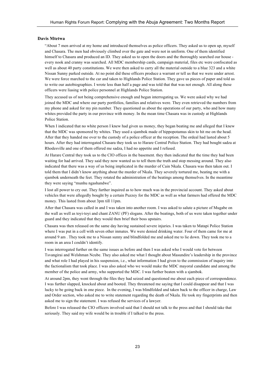#### **Davis Mtetwa**

"About 7 men arrived at my home and introduced themselves as police officers. They asked us to open up, myself and Chasara. The men had obviously climbed over the gate and were not in uniform. One of them identified himself to Chasara and produced an ID. They asked us to open the doors and the thoroughly searched our house every nook and cranny was searched. All MDC membership cards, campaign material, files etc were confiscated as well as about 40 party constitutions. We were then asked to carry all the material outside to a blue 323 and a white Nissan Sunny parked outside. At no point did these officers produce a warrant or tell us that we were under arrest. We were force marched to the car and taken to Highlands Police Station. They gave us pieces of paper and told us to write our autobiographies. I wrote less than half a page and was told that that was not enough. All along these officers were liasing with police personnel at Highlands Police Station.

They accused us of not being comprehensive enough and began interrogating us. We were asked why we had joined the MDC and where our party portfolios, families and relatives were. They even retrieved the numbers from my phone and asked for my pin number. They questioned us about the operations of our party, who and how many whites provided the party in our province with money. In the mean time Chasara was in custody at Highlands Police Station.

When I indicated that no white person I knew had given us money, they began beating me and alleged that I knew that the MDC was sponsored by whites. They used a sjambok made of hippopotamus skin to hit me on the head. After that they handed me over to the custody of a police officer at the reception. The ordeal had lasted about 5 hours. After they had interrogated Chasara they took us to Harare Central Police Station. They had bought sadza at Rhodesville and one of them offered me sadza, I had no appetite and I refused.

At Harare Central they took us to the CIO offices in the basement. they then indicated that the time they had been waiting for had arrived. They said they now wanted us to tell them the truth and stop messing around. They also indicated that there was a way of us being implicated in the murder of Cain Nkala. Chasara was then taken out. I told them that I didn't know anything about the murder of Nkala. They severely tortured me, beating me with a sjambok underneath the feet. They rotated the administration of the beatings among themselves. In the meantime they were saying "munhu ngashandwe".

I lost all power to cry out. They further inquired as to how much was in the provincial account. They asked about vehicles that were allegedly bought by a certain Puzzey for the MDC as well as what farmers had offered the MDC money. This lasted from about 3pm till 11pm.

After that Chasara was called in and I was taken into another room. I was asked to salute a picture of Mugabe on the wall as well as toyi-toyi and chant ZANU (PF) slogans. After the beatings, both of us were taken together under guard and they indicated that they would then brief their boss upstairs.

Chasara was then released on the same day having sustained severe injuries. I was taken to Matapi Police Station where I was put in a cell with seven other inmates. We were denied drinking water. Four of them came for me at around 9 am . They took me to a Nissan sunny and blindfolded me and asked me to lie down. They took me to a room in an area I couldn't identify.

I was interrogated further on the same issues as before and then I was asked who I would vote for between Tsvangirai and Welshman Ncube. They also asked me what I thought about Masundire's leadership in the province and what role I had played in his suspension, i.e., what information I had given to the commission of inquiry into the factionalism that took place. I was also asked who we would make the MDC mayoral candidate and among the member of the police and army, who supported the MDC. I was further beaten with a sjambok.

At around 2pm, they went through the files they had seized and questioned me about each piece of correspondence. I was further slapped, knocked about and booted. They threatened me saying that I could disappear and that I was lucky to be going back in one piece. In the evening, I was blindfolded and taken back to the officer in charge, Law and Order section, who asked me to write statement regarding the death of Nkala. He took my fingerprints and then asked me to sign the statement. I was refused the services of a lawyer.

Before I was released the CIO officers involved said that I should not talk to the press and that I should take that seriously. They said my wife would be in trouble if I talked to the press.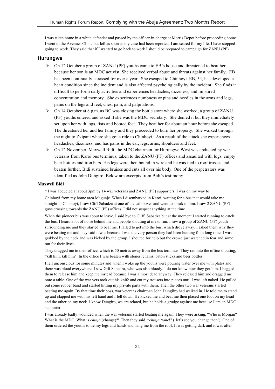I was taken home in a white defender and passed by the officer-in-charge at Morris Depot before proceeding home. I went to the Avenues Clinic but left as soon as my case had been reported. I am scared for my life. I have stopped going to work. They said that if I wanted to go back to work I should be prepared to campaign for ZANU (PF).

#### **Hurungwe**

- $\triangleright$  On 12 October a group of ZANU (PF) youths came to EB's house and threatened to beat her because her son is an MDC activist. She received verbal abuse and threats against her family. EB has been continually harassed for over a year. She escaped to Chinhoyi. EB, 54, has developed a heart condition since the incident and is also affected psychologically by the incident. She finds it difficult to perform daily activities and experiences headaches, dizziness, and impaired concentration and memory. She experiences numbness or pins and needles in the arms and legs, pains on the legs and feet, chest pain, and palpitations.
- $\triangleright$  On 14 October at 8 p.m. as BC was closing the bottle store where she worked, a group of ZANU (PF) youths entered and asked if she was the MDC secretary. She denied it but they immediately set upon her with logs, fists and booted feet. They beat her for about an hour before she escaped. The threatened her and her family and they proceeded to burn her property. She walked through the night to Zvipani where she got a ride to Chinhoyi. As a result of the attack she experiences headaches, dizziness, and has pains in the ear, legs, arms, shoulders and feet.
- $\triangleright$  On 12 November, Maxwell Bidi, the MDC chairman for Hurungwe West was abducted by war veterans from Karoi bus terminus, taken to the ZANU (PF) offices and assaulted with logs, empty beer bottles and iron bars. His legs were then bound in wire and he was tied to roof trusses and beaten further. Bidi sustained bruises and cuts all over his body. One of the perpetrators was identified as John Dungiro. Below are excerpts from Bidi's testimony

#### **Maxwell Bidi**

" I was abducted at about 3pm by 14 war veterans and ZANU (PF) supporters. I was on my way to

Chinhoyi from my home area Magunje. When I disembarked in Karoi, waiting for a bus that would take me straight to Chinhoyi, I saw Cliff Sabadza at one of the call boxes and went to speak to him. I saw 2 ZANU (PF) guys crossing towards the ZANU (PF) offices. I did not suspect anything at the time.

When the pioneer bus was about to leave, I said bye to Cliff Sabadza but at the moment I started running to catch the bus, I heard a lot of noise behind me and people shouting at me to run. I saw a group of ZANU (PF) youth surrounding me and they started to beat me. I failed to get into the bus, which drove away. I asked them why they were beating me and they said it was because I was the very person they had been hunting for a long time. I was grabbed by the neck and was kicked by the group. I shouted for help but the crowd just watched in fear and some ran for their lives.

They dragged me to their office, which is 50 metres away from the bus terminus. They ran into the office shouting, "kill him, kill him". In the office I was beaten with stones, chains, baton sticks and beer bottles.

I fell unconscious for some minutes and when I woke up the youths were pouring water over me with plates and there was blood everywhere. I saw Gift Sabadza, who was also bloody. I do not know how they got him. I begged them to release him and keep me instead because I was almost dead anyway. They released him and dragged me onto a table. One of the war vets took out his knife and cut my trousers into pieces until I was left naked. He pulled out some rubber band and started hitting my private parts with them. Then the other two war veterans started beating me again. By that time their boss, war veterans chairman John Dungiiro had walked in. He told me to stand up and clapped me with his left hand and I fell down. He kicked me and beat me then placed one foot on my head and the other on my neck. I know Dungiro, we are related, but he holds a grudge against me because I am an MDC supporter.

I was already badly wounded when the war veterans started beating me again. They were asking, "Who is Morgan? What is the MDC, What is *chinja* (change)?" Then they said, "*chinja tione*!" ('let's see you change then'). One of them ordered the youths to tie my legs and hands and hang me from the roof. It was getting dark and it was after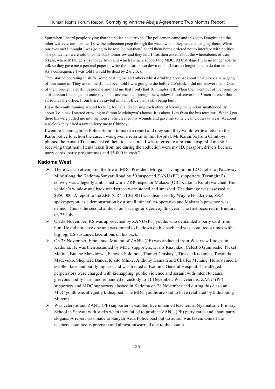5pm when I heard people saying that the police had arrived. The policemen came and talked to Dungiro and the other war veterans outside. I saw the policemen peep through the window and they saw me hanging there. When our eyes met I thought I was going to be rescued but then I heard them being ordered not to interfere with politics. The policemen were told to come back tomorrow and they left. I was then asked about the whereabouts of Cain Nkala, where MDC gets its money from and which farmers support the MDC. At that stage I was no longer able to talk so they gave me a pen and paper to write the information down on but I was no longer able to do that either. As a consequence I was told I would be dead by 2 o'clock.

They started operating in shifts, some beating me and others whilst drinking beer. At about 12 o'clock a new gang of four came in. They asked me if I had been told I was going to die before 2 o'clock. I did not answer them. One of them brought a coffin beside me and told me that I only had 10 minutes left. When they went out of the room for a discussion I managed to untie my hands and escaped through the window. I took cover in a 3-metre trench that surrounds the office. From there I crawled into an office that is still being built.

I saw the youth running around looking for me and accusing each other of leaving the window unattended. At about 3 o'clock I started crawling to Simon Mudzingwa's house. It is about 1km from the bus terminus. When I got there his wife pulled me into the house. She cleaned my wounds and gave me some clean clothes to wear. At about 4 o'clock they hired a taxi to ferry me to Chinhoyi.

I went to Chamagamba Police Station to make a report and they said they would write a letter to the Karoi police to action the case. I was given a referral to the Hospital. Mr Karemba from Chinhoyi phoned the Amani Trust and asked them to assist me. I was referred to a private hospital. I am still receiving treatment. Items taken from me during the abduction were my ID, passport, drivers licence, party cards, party programmes and \$5 000 in cash."

#### **Kadoma West**

- $\triangleright$  There was an attempt on the life of MDC President Morgan Tsvangirai on 12 October at Patchway Mine along the Kadoma-Sanyati Road by 50 suspected ZANU (PF) supporters. Tsvangirai's convoy was allegedly ambushed while ZRP Inspector Makaza (OIC Kadoma Rural) watched. His vehicle's window and back windscreen were stoned and smashed. The damage was assessed at \$950 000. A report to the ZRP (CR41/10/2001) was dismissed by Wayne Bvudzijena, ZRP spokesperson, as a demonstration by a small miners' co-operative and Makaza's presence was denied. This is the second ambush on Tsvangirai's convoy this year. The first occurred in Bindura on 23 July.
- $\geq$  On 23 November, KS was approached by ZANU (PF) youths who demanded a party card from him. He did not have one and was forced to lie down on his back and was assaulted 4 times with a big log. KS sustained lacerations on his back.
- $\geq$  On 28 November, Emmanuel Mutemi of ZANU (PF) was abducted from Westview Lodges in Kadoma. He was then assaulted by MDC supporters, Evans Ruzvidzo, Celestio Gumireshe, Picket Mafuta, Butane Mazvidzwa, Fanwell Solomon, Taurayi Chishaya, Tinashe Kudemba, Tawanda Madevuko, Shepherd Banda, Kizito Mhike, Anthony Damani and Charles Mclaine. He sustained a swollen face and bodily injuries and was treated at Kadoma General Hospital. The alleged perpetrators were charged with kidnapping, public violence and assault with intent to cause grievous bodily harm and remanded in custody to 11 December. War veterans, ZANU (PF) supporters and MDC supporters clashed in Kadoma on 28 November and during this clash an MDC youth was allegedly kidnapped. The MDC youths are said to have retaliated by kidnapping Mutemi.
- War veterans and ZANU (PF) supporters assaulted five unnamed teachers at Nyamatsane Primary School in Sanyati with sticks when they failed to produce ZANU (PF) party cards and chant party slogans. A report was made to Sanyati Arda Police post but no action was taken. One of the teachers assaulted is pregnant and almost miscarried due to the assault.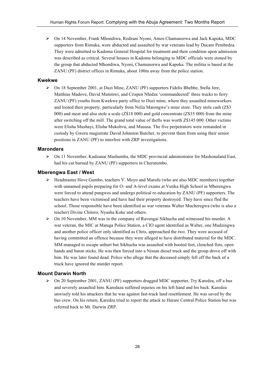On 14 November, Frank Mhondiwa, Rodzani Nyoni, Amos Chamunorwa and Jack Kapoka, MDC supporters from Rimuka, were abducted and assaulted by war veterans lead by Ducam Pembedza. They were admitted to Kadoma General Hospital for treatment and their condition upon admission was described as critical. Several houses in Kadoma belonging to MDC officials were stoned by the group that abducted Mhondiwa, Nyoni, Chamunorwa and Kapoka. The militia is based at the ZANU (PF) district offices in Rimuka, about 100m away from the police station.

# **Kwekwe**

 On 18 September 2001, at Duzi Mine, ZANU (PF) supporters Fidelis Bhebhe, Stella Jere, Matthias Madove, David Mutimwi, and Crispen Nhidza 'commandeered' three trucks to ferry ZANU (PF) youths from Kwekwe party office to Duzi mine, where they assaulted mineworkers and looted their property, particularly from Nelia Marongwe's mine store. They stole cash (Z\$3 000) and meat and also stole a scale (Z\$18 000) and gold concentrate (Z\$35 000) from the mine after switching off the mill. The grand total value of thefts was worth Z\$145 000. Other victims were Elisha Mushayi, Elisha Mukobvu, and Mususa. The five perpetrators were remanded in custody by Gweru magistrate David Johnston Butcher, to prevent them from using their senior positions in ZANU (PF) to interfere with ZRP investigations.

## **Marondera**

 $\triangleright$  On 11 November, Kudzanai Mashumba, the MDC provincial administrator for Mashonaland East, had his car burned by ZANU (PF) supporters in Cherutombo.

#### **Mberengwa East / West**

- $\triangleright$  Headmaster Hove Gumbo, teachers V. Moyo and Marufu (who are also MDC members) together with unnamed pupils preparing for O- and A-level exams at Vutika High School in Mberengwa were forced to attend pungwes and undergo political re-education by ZANU (PF) supporters. The teachers have been victimised and have had their property destroyed. They have since fled the school. Those responsible have been identified as war veterans Walter Mucheregwa (who is also a teacher) Divine Chitoro, Nyasha Koke and others.
- $\triangleright$  On 10 November, MM was in the company of Ravengai Sikhucha and witnessed his murder. A war veteran, the MIC at Mataga Police Station, a CIO agent identified as Walter, one Mudzingwa and another police officer only identified as Chris, approached the two. They were accused of having committed an offence because they were alleged to have distributed material for the MDC. MM managed to escape unhurt but Sikhucha was assaulted with booted feet, clenched fists, open hands and baton sticks. He was then forced into a Nissan diesel truck and the group drove off with him. He was later found dead. Police who allege that the deceased simply fell off the back of a truck have ignored the murder report.

### **Mount Darwin North**

 $\triangleright$  On 20 September 2001, ZANU (PF) supporters dragged MDC supporter. Try Karedza, off a bus and severely assaulted him. Karedaza suffered injuries on his left hand and his back. Karedza unwisely told his attackers that he was against fast-track land resettlement. He was saved by the bus crew. On his return, Karedza tried to report the attack to Harare Central Police Station but was referred back to Mt. Darwin ZRP.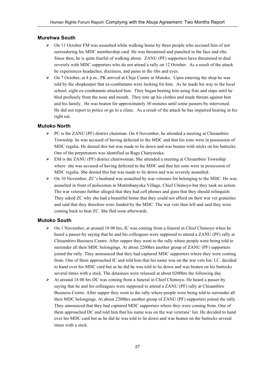# **Murehwa South**

- $\triangleright$  On 11 October FM was assaulted while walking home by three people who accused him of not surrendering his MDC membership card. He was threatened and punched in the face and ribs. Since then, he is quite fearful of walking about. ZANU (PF) supporters have threatened to deal severely with MDC supporters who do not attend a rally on 12 October. As a result of the attack he experiences headaches, dizziness, and pains in the ribs and eyes.
- $\triangleright$  On 7 October, at 4 p.m., PK arrived at Chije Centre in Mutoko. Upon entering the shop he was told by the shopkeeper that ex-combatants were looking for him. As he made his way to the local school, eight ex-combatants attacked him. They began beating him using fists and slaps until he bled profusely from the nose and mouth. They tore up his clothes and made threats against him and his family. He was beaten for approximately 30 minutes until some passers-by intervened. He did not report to police or go to a clinic. As a result of the attack he has impaired hearing in his right ear.

## **Mutoko North**

- $\triangleright$  PC is the ZANU (PF) district chairman. On 4 November, he attended a meeting at Chisambiro Township. he was accused of having defected to the MDC and that his sons were in possession of MDC regalia. He denied this but was made to lie down and was beaten with sticks on his buttocks. One of the perpetrators was identified as Raga Chanyuruka.
- $\triangleright$  EM is the ZANU (PF) district chairwoman. She attended a meeting at Chisambiro Township where she was accused of having defected to the MDC and that her sons were in possession of MDC regalia. She denied this but was made to lie down and was severely assaulted.
- $\triangleright$  On 10 November, ZC's husband was assaulted by war veterans for belonging to the MDC. He was assaulted in front of policemen in Mutimbanyoka Village, Chief Chimoyo but they took no action. The war veterans further alleged that they had cell phones and guns that they should relinquish. They asked ZC why she had a beautiful home that they could not afford on their war vet gratuities and said that they therefore were funded by the MDC. The war vets then left and said they were coming back to beat ZC. She fled soon afterwards.

## **Mutoko South**

- $\triangleright$  On 1 November, at around 18 00 hrs, IC was coming from a funeral in Chief Chimoyo when he heard a passer-by saying that he and his colleagues were supposed to attend a ZANU (PF) rally at Chisambiro Business Centre. After supper they went to the rally where people were being told to surrender all their MDC belongings. At about 2200hrs another group of ZANU (PF) supporters joined the rally. They announced that they had captured MDC supporters where they were coming from. One of them approached IC and told him that his name was on the war vets list. I.C. decided to hand over his MDC card but as he did he was told to lie down and was beaten on his buttocks several times with a stick. The detainees were released at about 0200hrs the following day.
- $\triangleright$  At around 18 00 hrs DC was coming from a funeral in Chief Chimoyo. He heard a passer-by saying that he and his colleagues were supposed to attend a ZANU (PF) rally at Chisambiro Business Centre. After supper they went to the rally where people were being told to surrender all their MDC belongings. At about 2200hrs another group of ZANU (PF) supporters joined the rally. They announced that they had captured MDC supporters where they were coming from. One of them approached DC and told him that his name was on the war veterans' list. He decided to hand over his MDC card but as he did he was told to lie down and was beaten on the buttocks several times with a stick.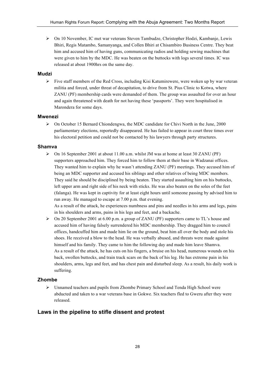On 10 November, IC met war veterans Steven Tambudze, Christopher Hodzi, Kambanje, Lewis Bhiri, Regis Matambo, Samanyanga, and Collen Bhiri at Chisambiro Business Centre. They beat him and accused him of having guns, communicating radios and holding sewing machines that were given to him by the MDC. He was beaten on the buttocks with logs several times. IC was released at about 1900hrs on the same day.

#### **Mudzi**

 $\triangleright$  Five staff members of the Red Cross, including Kisi Katumirewere, were woken up by war veteran militia and forced, under threat of decapitation, to drive from St. Pius Clinic to Kotwa, where ZANU (PF) membership cards were demanded of them. The group was assaulted for over an hour and again threatened with death for not having these 'passports'. They were hospitalised in Marondera for some days.

#### **Mwenezi**

 $\triangleright$  On October 15 Bernard Chiondengwa, the MDC candidate for Chivi North in the June, 2000 parliamentary elections, reportedly disappeared. He has failed to appear in court three times over his electoral petition and could not be contacted by his lawyers through party structures.

### **Shamva**

 $\triangleright$  On 16 September 2001 at about 11.00 a.m. whilst JM was at home at least 30 ZANU (PF) supporters approached him. They forced him to follow them at their base in Wadzanai offices. They wanted him to explain why he wasn't attending ZANU (PF) meetings. They accused him of being an MDC supporter and accused his siblings and other relatives of being MDC members. They said he should be disciplined by being beaten. They started assaulting him on his buttocks, left upper arm and right side of his neck with sticks. He was also beaten on the soles of the feet (falanga). He was kept in captivity for at least eight hours until someone passing by advised him to run away. He managed to escape at 7.00 p.m. that evening.

As a result of the attack, he experiences numbness and pins and needles in his arms and legs, pains in his shoulders and arms, pains in his legs and feet, and a backache.

 $\triangleright$  On 20 September 2001 at 6.00 p.m. a group of ZANU (PF) supporters came to TL's house and accused him of having falsely surrendered his MDC membership. They dragged him to council offices, handcuffed him and made him lie on the ground, beat him all over the body and stole his shoes. He received a blow to the head. He was verbally abused, and threats were made against himself and his family. They came to him the following day and made him leave Shamva. As a result of the attack, he has cuts on his fingers, a bruise on his head, numerous wounds on his back, swollen buttocks, and train track scars on the back of his leg. He has extreme pain in his shoulders, arms, legs and feet, and has chest pain and disturbed sleep. As a result, his daily work is suffering.

# **Zhombe**

 Unnamed teachers and pupils from Zhombe Primary School and Tenda High School were abducted and taken to a war veterans base in Gokwe. Six teachers fled to Gweru after they were released.

# **Laws in the pipeline to stifle dissent and protest**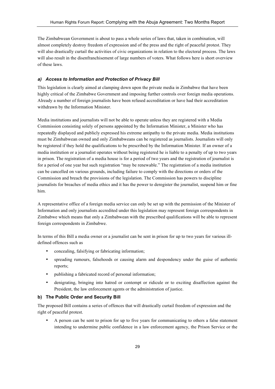The Zimbabwean Government is about to pass a whole series of laws that, taken in combination, will almost completely destroy freedom of expression and of the press and the right of peaceful protest. They will also drastically curtail the activities of civic organizations in relation to the electoral process. The laws will also result in the disenfranchisement of large numbers of voters. What follows here is short overview of these laws.

## *a) Access to Information and Protection of Privacy Bill*

This legislation is clearly aimed at clamping down upon the private media in Zimbabwe that have been highly critical of the Zimbabwe Government and imposing further controls over foreign media operations. Already a number of foreign journalists have been refused accreditation or have had their accreditation withdrawn by the Information Minister.

Media institutions and journalists will not be able to operate unless they are registered with a Media Commission consisting solely of persons appointed by the Information Minister, a Minister who has repeatedly displayed and publicly expressed his extreme antipathy to the private media. Media institutions must be Zimbabwean owned and only Zimbabweans can be registered as journalists. Journalists will only be registered if they hold the qualifications to be prescribed by the Information Minister. If an owner of a media institution or a journalist operates without being registered he is liable to a penalty of up to two years in prison. The registration of a media house is for a period of two years and the registration of journalist is for a period of one year but such registration "may be renewable." The registration of a media institution can be cancelled on various grounds, including failure to comply with the directions or orders of the Commission and breach the provisions of the legislation. The Commission has powers to discipline journalists for breaches of media ethics and it has the power to deregister the journalist, suspend him or fine him.

A representative office of a foreign media service can only be set up with the permission of the Minister of Information and only journalists accredited under this legislation may represent foreign correspondents in Zimbabwe which means that only a Zimbabwean with the prescribed qualifications will be able to represent foreign correspondents in Zimbabwe.

In terms of this Bill a media owner or a journalist can be sent in prison for up to two years for various illdefined offences such as

- concealing, falsifying or fabricating information;
- spreading rumours, falsehoods or causing alarm and despondency under the guise of authentic reports;
- publishing a fabricated record of personal information;
- denigrating, bringing into hatred or contempt or ridicule or to exciting disaffection against the President, the law enforcement agents or the administration of justice.

### **b) The Public Order and Security Bill**

The proposed Bill contains a series of offences that will drastically curtail freedom of expression and the right of peaceful protest.

• A person can be sent to prison for up to five years for communicating to others a false statement intending to undermine public confidence in a law enforcement agency, the Prison Service or the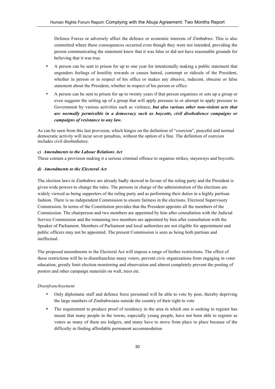Defence Forces or adversely affect the defence or economic interests of Zimbabwe. This is also committed where these consequences occurred even though they were not intended, providing the person communicating the statement knew that it was false or did not have reasonable grounds for believing that it was true.

- A person can be sent to prison for up to one year for intentionally making a public statement that engenders feelings of hostility towards or causes hatred, contempt or ridicule of the President, whether in person or in respect of his office or makes any abusive, indecent, obscene or false statement about the President, whether in respect of his person or office.
- A person can be sent to prison for up to twenty years if that person organizes or sets up a group or even suggests the setting up of a group that will apply pressure to or attempt to apply pressure to Government by various activities such as violence, *but also various other non-violent acts that are normally permissible in a democracy such as boycotts, civil disobedience campaigns or campaigns of resistance to any law.*

As can be seen from this last provision, which hinges on the definition of "coercion", peaceful and normal democratic activity will incur sever penalties, without the option of a fine. The definition of coercion includes civil disobedience.

## *c) Amendments to the Labour Relations Act*

These contain a provision making it a serious criminal offence to organise strikes, stayaways and boycotts.

## *d) Amendments to the Electoral Act*

The election laws in Zimbabwe are already badly skewed in favour of the ruling party and the President is given wide powers to change the rules. The persons in charge of the administration of the elections are widely viewed as being supporters of the ruling party and as performing their duties in a highly partisan fashion. There is no independent Commission to ensure fairness in the elections. Electoral Supervisory Commission. In terms of the Constitution provides that the President appoints all the members of the Commission. The chairperson and two members are appointed by him after consultation with the Judicial Service Commission and the remaining two members are appointed by him after consultation with the Speaker of Parliament. Members of Parliament and local authorities are not eligible for appointment and public officers may not be appointed. The present Commission is seen as being both partisan and ineffectual.

The proposed amendments to the Electoral Act will impose a range of further restrictions. The effect of these restrictions will be to disenfranchise many voters, prevent civic organizations from engaging in voter education, greatly limit election monitoring and observation and almost completely prevent the posting of posters and other campaign materials on wall, trees etc.

#### *Disenfranchisement*

- Only diplomatic staff and defence force personnel will be able to vote by post, thereby depriving the large numbers of Zimbabweans outside the country of their right to vote
- The requirement to produce proof of residency in the area in which one is seeking to register has meant that many people in the towns, especially young people, have not been able to register as voters as many of them are lodgers, and many have to move from place to place because of the difficulty in finding affordable permanent accommodation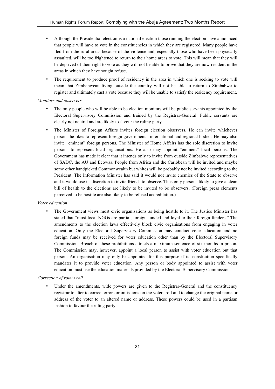- Although the Presidential election is a national election those running the election have announced that people will have to vote in the constituencies in which they are registered. Many people have fled from the rural areas because of the violence and, especially those who have been physically assaulted, will be too frightened to return to their home areas to vote. This will mean that they will be deprived of their right to vote as they will not be able to prove that they are now resident in the areas in which they have sought refuse.
- The requirement to produce proof of residency in the area in which one is seeking to vote will mean that Zimbabwean living outside the country will not be able to return to Zimbabwe to register and ultimately cast a vote because they will be unable to satisfy the residency requirement.

#### *Monitors and observers*

- The only people who will be able to be election monitors will be public servants appointed by the Electoral Supervisory Commission and trained by the Registrar-General. Public servants are clearly not neutral and are likely to favour the ruling party.
- The Minister of Foreign Affairs invites foreign election observers. He can invite whichever persons he likes to represent foreign governments, international and regional bodies. He may also invite "eminent" foreign persons. The Minister of Home Affairs has the sole discretion to invite persons to represent local organisations. He also may appoint "eminent" local persons. The Government has made it clear that it intends only to invite from outside Zimbabwe representatives of SADC, the AU and Ecowas. People from Africa and the Caribbean will be invited and maybe some other handpicked Commonwealth but whites will be probably not be invited according to the President. The Information Minister has said it would not invite enemies of the State to observe and it would use its discretion to invite friends to observe. Thus only persons likely to give a clean bill of health to the elections are likely to be invited to be observers. (Foreign press elements perceived to be hostile are also likely to be refused accreditation.)

#### *Voter education*

• The Government views most civic organisations as being hostile to it. The Justice Minister has stated that "most local NGOs are partial, foreign funded and loyal to their foreign funders." The amendments to the election laws effectively block civic organisations from engaging in voter education. Only the Electoral Supervisory Commission may conduct voter education and no foreign funds may be received for voter education other than by the Electoral Supervisory Commission. Breach of these prohibitions attracts a maximum sentence of six months in prison. The Commission may, however, appoint a local person to assist with voter education but that person. An organisation may only be appointed for this purpose if its constitution specifically mandates it to provide voter education. Any person or body appointed to assist with voter education must use the education materials provided by the Electoral Supervisory Commission.

#### *Correction of voters roll*

Under the amendments, wide powers are given to the Registrar-General and the constituency registrar to alter to correct errors or omissions on the voters roll and to change the original name or address of the voter to an altered name or address. These powers could be used in a partisan fashion to favour the ruling party.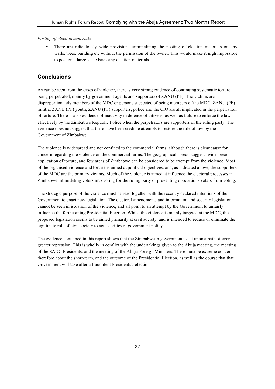## *Posting of election materials*

There are ridiculously wide provisions criminalizing the posting of election materials on any walls, trees, building etc without the permission of the owner. This would make it nigh impossible to post on a large-scale basis any election materials.

# **Conclusions**

As can be seen from the cases of violence, there is very strong evidence of continuing systematic torture being perpetrated, mainly by government agents and supporters of ZANU (PF). The victims are disproportionately members of the MDC or persons suspected of being members of the MDC. ZANU (PF) militia, ZANU (PF) youth, ZANU (PF) supporters, police and the CIO are all implicated in the perpetration of torture. There is also evidence of inactivity in defence of citizens, as well as failure to enforce the law effectively by the Zimbabwe Republic Police when the perpetrators are supporters of the ruling party. The evidence does not suggest that there have been credible attempts to restore the rule of law by the Government of Zimbabwe.

The violence is widespread and not confined to the commercial farms, although there is clear cause for concern regarding the violence on the commercial farms. The geographical spread suggests widespread application of torture, and few areas of Zimbabwe can be considered to be exempt from the violence. Most of the organised violence and torture is aimed at political objectives, and, as indicated above, the supporters of the MDC are the primary victims. Much of the violence is aimed at influence the electoral processes in Zimbabwe intimidating voters into voting for the ruling party or preventing oppositions voters from voting.

The strategic purpose of the violence must be read together with the recently declared intentions of the Government to enact new legislation. The electoral amendments and information and security legislation cannot be seen in isolation of the violence, and all point to an attempt by the Government to unfairly influence the forthcoming Presidential Election. Whilst the violence is mainly targeted at the MDC, the proposed legislation seems to be aimed primarily at civil society, and is intended to reduce or eliminate the legitimate role of civil society to act as critics of government policy.

The evidence contained in this report shows that the Zimbabwean government is set upon a path of evergreater repression. This is wholly in conflict with the undertakings given to the Abuja meeting, the meeting of the SADC Presidents, and the meeting of the Abuja Foreign Ministers. There must be extreme concern therefore about the short-term, and the outcome of the Presidential Election, as well as the course that that Government will take after a fraudulent Presidential election.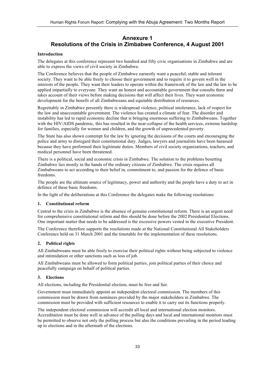# **Annexure 1 Resolutions of the Crisis in Zimbabwe Conference, 4 August 2001**

#### **Introduction**

The delegates at this conference represent two hundred and fifty civic organisations in Zimbabwe and are able to express the views of civil society in Zimbabwe.

The Conference believes that the people of Zimbabwe earnestly want a peaceful, stable and tolerant society. They want to be able freely to choose their government and to require it to govern well in the interests of the people. They want their leaders to operate within the framework of the law and the law to be applied impartially to everyone. They want an honest and accountable government that consults them and takes account of their views before making decisions that will affect their lives. They want economic development for the benefit of all Zimbabweans and equitable distribution of resources.

Regrettably in Zimbabwe presently there is widespread violence, political intolerance, lack of respect for the law and unaccountable government. The violence has created a climate of fear. The disorder and instability has led to rapid economic decline that is bringing enormous suffering to Zimbabweans. Together with the HIV/AIDS pandemic, this has resulted in the near-collapse of the health services, extreme hardship for families, especially for women and children, and the growth of unprecedented poverty.

The State has also shown contempt for the law by ignoring the decisions of the courts and encouraging the police and army to disregard their constitutional duty. Judges, lawyers and journalists have been harassed because they have performed their legitimate duties. Members of civil society organizations, teachers, and medical personnel have been threatened.

There is a political, social and economic crisis in Zimbabwe. The solution to the problems besetting Zimbabwe lies mostly in the hands of the ordinary citizens of Zimbabwe. The crisis requires all Zimbabweans to act according to their belief in, commitment to, and passion for the defence of basic freedoms.

The people are the ultimate source of legitimacy, power and authority and the people have a duty to act in defence of these basic freedoms.

In the light of the deliberations at this Conference the delegates make the following resolutions:

#### **1. Constitutional reform**

Central to the crisis in Zimbabwe is the absence of genuine constitutional reform. There is an urgent need for comprehensive constitutional reform and this should be done before the 2002 Presidential Elections. One important matter that needs to be addressed is the excessive powers vested in the executive President.

The Conference therefore supports the resolutions made at the National Constitutional All Stakeholders Conference held on 31 March 2001 and the timetable for the implementation of these resolutions.

#### **2. Political rights**

All Zimbabweans must be able freely to exercise their political rights without being subjected to violence and intimidation or other sanctions such as loss of job.

All Zimbabweans must be allowed to form political parties, join political parties of their choice and peacefully campaign on behalf of political parties.

#### **3. Elections**

All elections, including the Presidential election, must be free and fair.

Government must immediately appoint an independent electoral commission. The members of this commission must be drawn from nominees provided by the major stakeholders in Zimbabwe. The commission must be provided with sufficient resources to enable it to carry out its functions properly.

The independent electoral commission will accredit all local and international election monitors. Accreditation must be done well in advance of the polling days and local and international monitors must be permitted to observe not only the polling process but also the conditions prevailing in the period leading up to elections and in the aftermath of the elections.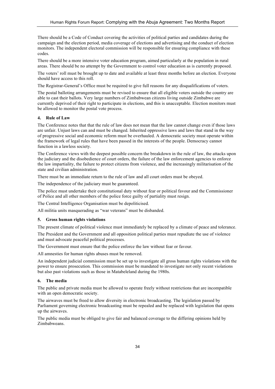There should be a Code of Conduct covering the activities of political parties and candidates during the campaign and the election period, media coverage of elections and advertising and the conduct of election monitors. The independent electoral commission will be responsible for ensuring compliance with these codes.

There should be a more intensive voter education program, aimed particularly at the population in rural areas. There should be no attempt by the Government to control voter education as is currently proposed.

The voters' roll must be brought up to date and available at least three months before an election. Everyone should have access to this roll.

The Registrar-General's Office must be required to give full reasons for any disqualifications of voters.

The postal balloting arrangements must be revised to ensure that all eligible voters outside the country are able to cast their ballots. Very large numbers of Zimbabwean citizens living outside Zimbabwe are currently deprived of their right to participate in elections, and this is unacceptable. Election monitors must be allowed to monitor the postal vote process.

#### **4. Rule of Law**

The Conference notes that that the rule of law does not mean that the law cannot change even if those laws are unfair. Unjust laws can and must be changed. Inherited oppressive laws and laws that stand in the way of progressive social and economic reform must be overhauled. A democratic society must operate within the framework of legal rules that have been passed in the interests of the people. Democracy cannot function in a lawless society.

The Conference views with the deepest possible concern the breakdown in the rule of law, the attacks upon the judiciary and the disobedience of court orders, the failure of the law enforcement agencies to enforce the law impartiality, the failure to protect citizens from violence, and the increasingly militarisation of the state and civilian administration.

There must be an immediate return to the rule of law and all court orders must be obeyed.

The independence of the judiciary must be guaranteed.

The police must undertake their constitutional duty without fear or political favour and the Commissioner of Police and all other members of the police force guilty of partiality must resign.

The Central Intelligence Organisation must be depoliticised.

All militia units masquerading as "war veterans" must be disbanded.

#### **5. Gross human rights violations**

The present climate of political violence must immediately be replaced by a climate of peace and tolerance.

The President and the Government and all opposition political parties must repudiate the use of violence and must advocate peaceful political processes.

The Government must ensure that the police enforce the law without fear or favour.

All amnesties for human rights abuses must be removed.

An independent judicial commission must be set up to investigate all gross human rights violations with the power to ensure prosecution. This commission must be mandated to investigate not only recent violations but also past violations such as those in Matabeleland during the 1980s.

#### **6. The media**

The public and private media must be allowed to operate freely without restrictions that are incompatible with an open democratic society.

The airwaves must be freed to allow diversity in electronic broadcasting. The legislation passed by Parliament governing electronic broadcasting must be repealed and be replaced with legislation that opens up the airwaves.

The public media must be obliged to give fair and balanced coverage to the differing opinions held by Zimbabweans.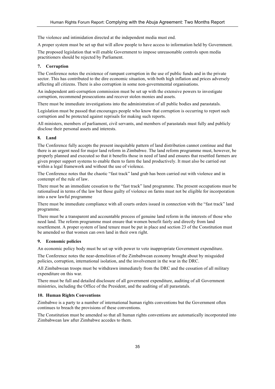The violence and intimidation directed at the independent media must end.

A proper system must be set up that will allow people to have access to information held by Government.

The proposed legislation that will enable Government to impose unreasonable controls upon media practitioners should be rejected by Parliament.

#### **7. Corruption**

The Conference notes the existence of rampant corruption in the use of public funds and in the private sector. This has contributed to the dire economic situation, with both high inflation and prices adversely affecting all citizens. There is also corruption in some non-governmental organisations.

An independent anti-corruption commission must be set up with the extensive powers to investigate corruption, recommend prosecutions and recover stolen monies and assets.

There must be immediate investigations into the administration of all public bodies and parastatals.

Legislation must be passed that encourages people who know that corruption is occurring to report such corruption and be protected against reprisals for making such reports.

All ministers, members of parliament, civil servants, and members of parastatals must fully and publicly disclose their personal assets and interests.

## **8. Land**

The Conference fully accepts the present inequitable pattern of land distribution cannot continue and that there is an urgent need for major land reform in Zimbabwe. The land reform programme must, however, be properly planned and executed so that it benefits those in need of land and ensures that resettled farmers are given proper support systems to enable them to farm the land productively. It must also be carried out within a legal framework and without the use of violence.

The Conference notes that the chaotic "fast track" land grab has been carried out with violence and in contempt of the rule of law.

There must be an immediate cessation to the "fast track" land programme. The present occupations must be rationalised in terms of the law but those guilty of violence on farms must not be eligible for incorporation into a new lawful programme

There must be immediate compliance with all courts orders issued in connection with the "fast track" land programme.

There must be a transparent and accountable process of genuine land reform in the interests of those who need land. The reform programme must ensure that women benefit fairly and directly from land resettlement. A proper system of land tenure must be put in place and section 23 of the Constitution must be amended so that women can own land in their own right.

#### **9. Economic policies**

An economic policy body must be set up with power to veto inappropriate Government expenditure.

The Conference notes the near-demolition of the Zimbabwean economy brought about by misguided policies, corruption, international isolation, and the involvement in the war in the DRC.

All Zimbabwean troops must be withdrawn immediately from the DRC and the cessation of all military expenditure on this war.

There must be full and detailed disclosure of all government expenditure, auditing of all Government ministries, including the Office of the President, and the auditing of all parastatals.

#### **10. Human Rights Conventions**

Zimbabwe is a party to a number of international human rights conventions but the Government often continues to breach the provisions of these conventions.

The Constitution must be amended so that all human rights conventions are automatically incorporated into Zimbabwean law after Zimbabwe accedes to them.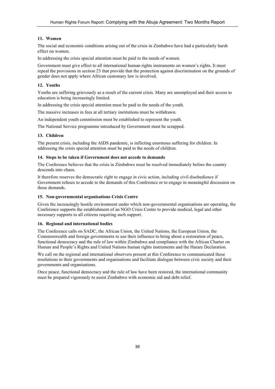#### **11. Women**

The social and economic conditions arising out of the crisis in Zimbabwe have had a particularly harsh effect on women.

In addressing the crisis special attention must be paid to the needs of women.

Government must give effect to all international human rights instruments on women's rights. It must repeal the provisions in section 23 that provide that the protection against discrimination on the grounds of gender does not apply where African customary law is involved.

## **12. Youths**

Youths are suffering grievously as a result of the current crisis. Many are unemployed and their access to education is being increasingly limited.

In addressing the crisis special attention must be paid to the needs of the youth.

The massive increases in fees at all tertiary institutions must be withdrawn.

An independent youth commission must be established to represent the youth.

The National Service programme introduced by Government must be scrapped.

## **13. Children**

The present crisis, including the AIDS pandemic, is inflicting enormous suffering for children. In addressing the crisis special attention must be paid to the needs of children.

#### **14. Steps to be taken if Government does not accede to demands**

The Conference believes that the crisis in Zimbabwe must be resolved immediately before the country descends into chaos.

It therefore reserves the democratic right to engage in civic action, including civil disobedience if Government refuses to accede to the demands of this Conference or to engage in meaningful discussion on these demands.

#### **15. Non-governmental organisations Crisis Centre**

Given the increasingly hostile environment under which non-governmental organisations are operating, the Conference supports the establishment of an NGO Crisis Centre to provide medical, legal and other necessary supports to all citizens requiring such support.

#### **16. Regional and international bodies**

The Conference calls on SADC, the African Union, the United Nations, the European Union, the Commonwealth and foreign governments to use their influence to bring about a restoration of peace, functional democracy and the rule of law within Zimbabwe and compliance with the African Charter on Human and People's Rights and United Nations human rights instruments and the Harare Declaration.

We call on the regional and international observers present at this Conference to communicated these resolutions to their governments and organisations and facilitate dialogue between civic society and their governments and organisations.

Once peace, functional democracy and the rule of law have been restored, the international community must be prepared vigorously to assist Zimbabwe with economic aid and debt relief.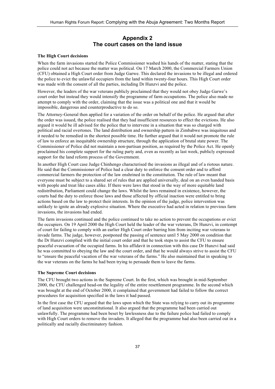# **Appendix 2 The court cases on the land issue**

#### **The High Court decisions**

When the farm invasions started the Police Commissioner washed his hands of the matter, stating that the police could not act because the matter was political. On 17 March 2000, the Commercial Farmers Union (CFU) obtained a High Court order from Judge Garwe. This declared the invasions to be illegal and ordered the police to evict the unlawful occupiers from the land within twenty-four hours. This High Court order was made with the consent of all the parties, including Dr Hunzvi and the police.

However, the leaders of the war veterans publicly proclaimed that they would not obey Judge Garwe's court order but instead they would intensify the programme of farm occupations. The police also made no attempt to comply with the order, claiming that the issue was a political one and that it would be impossible, dangerous and counterproductive to do so.

The Attorney-General then applied for a variation of the order on behalf of the police. He argued that after the order was issued, the police realised that they had insufficient resources to effect the evictions. He also argued it would be ill advised for the police that to intervene in a situation that was so charged with political and racial overtones. The land distribution and ownership pattern in Zimbabwe was iniquitous and it needed to be remedied in the shortest possible time. He further argued that it would not promote the rule of law to enforce an inequitable ownership structure, through the application of brutal state power. The Commissioner of Police did not maintain a non-partisan position, as required by the Police Act. He openly proclaimed his complete support for the ruling party and, even as recently as last week, publicly expressed support for the land reform process of the Government.

In another High Court case Judge Chinhengo characterised the invasions as illegal and of a riotous nature. He said that the Commissioner of Police had a clear duty to enforce the consent order and to afford commercial farmers the protection of the law enshrined in the constitution. The rule of law meant that everyone must be subject to a shared set of rules that are applied universally, deal on an even handed basis with people and treat like cases alike. If there were laws that stood in the way of more equitable land redistribution, Parliament could change the laws. Whilst the laws remained in existence, however, the courts had the duty to enforce those laws and those affected by official inaction were entitled to bring actions based on the law to protect their interests. In the opinion of the judge, police intervention was unlikely to ignite an already explosive situation. Where the executive had acted in relation to previous farm invasions, the invasions had ended.

The farm invasions continued and the police continued to take no action to prevent the occupations or evict the occupiers. On 19 April 2000 the High Court held the leader of the war veterans, Dr Hunzvi, in contempt of court for failing to comply with an earlier High Court order barring him from inciting war veterans to invade farms. The judge, however, postponed the passing of sentence until 5 May 2000 on condition that the Dr Hunzvi complied with the initial court order and that he took steps to assist the CFU to ensure peaceful evacuation of the occupied farms. In his affidavit in connection with this case Dr Hunzvi had said he was committed to obeying the law and the court order, and that he would always strive to assist the CFU to "ensure the peaceful vacation of the war veterans of the farms." He also maintained that in speaking to the war veterans on the farms he had been trying to persuade them to leave the farms.

#### **The Supreme Court decisions**

The CFU brought two actions in the Supreme Court. In the first, which was brought in mid-September 2000, the CFU challenged head-on the legality of the entire resettlement programme. In the second which was brought at the end of October 2000, it complained that government had failed to follow the correct procedures for acquisition specified in the laws it had passed.

In the first case the CFU argued that the laws upon which the State was relying to carry out its programme of land acquisition were unconstitutional. It also argued that the programme had been carried out unlawfully. The programme had been beset by lawlessness due to the failure police had failed to comply with High Court orders to remove the invaders. It alleged that the programme had also been carried out in a politically and racially discriminatory fashion.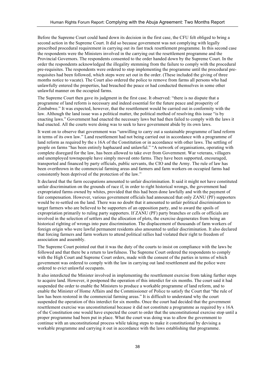Before the Supreme Court could hand down its decision in the first case, the CFU felt obliged to bring a second action in the Supreme Court. It did so because government was not complying with legally prescribed procedural requirement in carrying out its fast track resettlement programme. In this second case the respondents were the Ministers involved in the carrying out the resettlement programme and the Provincial Governors. The respondents consented to the order handed down by the Supreme Court. In the order the respondents acknowledged the illegality stemming from the failure to comply with the procedural pre-requisites. The respondents were ordered to stop implementing the programme until the procedural prerequisites had been followed, which steps were set out in the order. (These included the giving of three months notice to vacate). The Court also ordered the police to remove from farms all persons who had unlawfully entered the properties, had breached the peace or had conducted themselves in some other unlawful manner on the occupied farms.

The Supreme Court then gave its judgment in the first case. It observed: "there is no dispute that a programme of land reform is necessary and indeed essential for the future peace and prosperity of Zimbabwe." It was expected, however, that the resettlement would be carried out in conformity with the law. Although the land issue was a political matter, the political method of resolving this issue "is by enacting laws." Government had enacted the necessary laws but had then failed to comply with the laws it had enacted. All the courts were doing was to seek to have government abide by its own laws.

It went on to observe that government was "unwilling to carry out a sustainable programme of land reform in terms of its own law." Land resettlement had not being carried out in accordance with a programme of land reform as required by the s 16A of the Constitution or in accordance with other laws. The settling of people on farms "has been entirely haphazard and unlawful." "A network of organisations, operating with complete disregard for the law, has been allowed to take over from Government. War veterans, villagers and unemployed townspeople have simply moved onto farms. They have been supported, encouraged, transported and financed by party officials, public servants, the CIO and the Army. The rule of law has been overthrown in the commercial farming areas and farmers and farm workers on occupied farms had consistently been deprived of the protection of the law."

It declared that the farm occupations amounted to unfair discrimination. It said it might not have constituted unfair discrimination on the grounds of race if, in order to right historical wrongs, the government had expropriated farms owned by whites, provided that this had been done lawfully and with the payment of fair compensation. However, various government officials had announced that only ZANU (PF) supporters would be re-settled on the land. There was no doubt that it amounted to unfair political discrimination to target farmers who are believed to be supporters of an opposition party, and to award the spoils of expropriation primarily to ruling party supporters. If ZANU (PF) party branches or cells or officials are involved in the selection of settlers and the allocation of plots, the exercise degenerates from being an historical righting of wrongs into pure discrimination. The displacement of thousands of farm workers of foreign origin who were lawful permanent residents also amounted to unfair discrimination. It also declared that forcing farmers and farm workers to attend political rallies had violated their right to freedom of association and assembly.

The Supreme Court pointed out that it was the duty of the courts to insist on compliance with the laws be followed and that there be a return to lawfulness. The Supreme Court ordered the respondents to comply with the High Court and Supreme Court orders, made with the consent of the parties in terms of which government was ordered to comply with the law in carrying out land resettlement and the police were ordered to evict unlawful occupants.

It also interdicted the Minister involved in implementing the resettlement exercise from taking further steps to acquire land. However, it postponed the operation of this interdict for six months. The court said it had suspended the order to enable the Ministers to produce a workable programme of land reform, and to enable the Minister of Home Affairs and the Commissioner of Police to satisfy the Court that "the rule of law has been restored in the commercial farming areas." It is difficult to understand why the court suspended the operation of this interdict for six months. Once the court had decided that the government resettlement exercise was unconstitutional because it did not constitute a programme as required by s 16A of the Constitution one would have expected the court to order that the unconstitutional exercise stop until a proper programme had been put in place. What the court was doing was to allow the government to continue with an unconstitutional process while taking steps to make it constitutional by devising a workable programme and carrying it out in accordance with the laws establishing that programme.